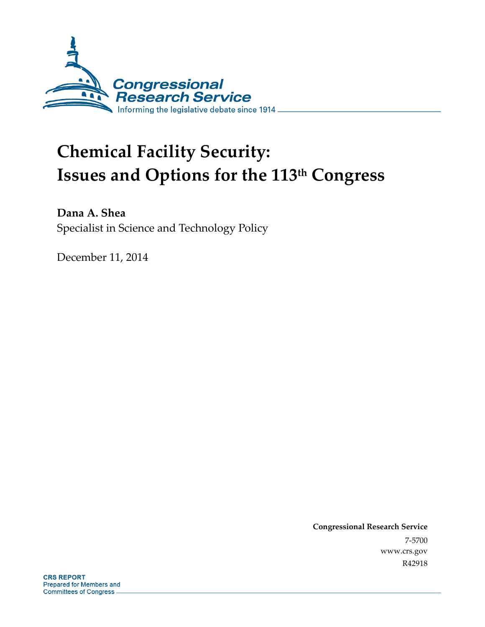

# **Chemical Facility Security: Issues and Options for the 113th Congress**

**Dana A. Shea**  Specialist in Science and Technology Policy

December 11, 2014

**Congressional Research Service**  7-5700 www.crs.gov R42918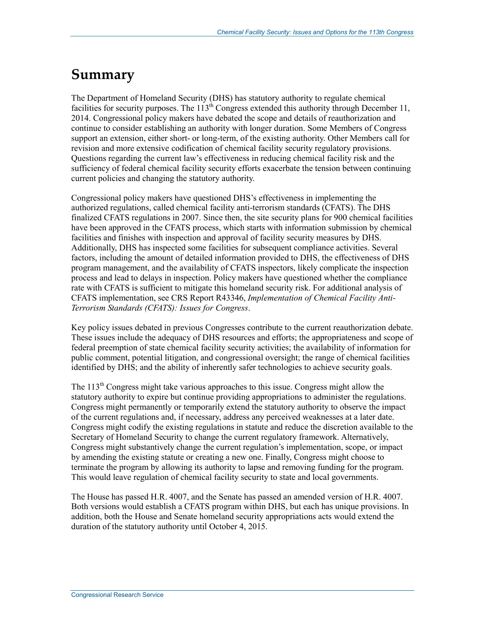## **Summary**

The Department of Homeland Security (DHS) has statutory authority to regulate chemical facilities for security purposes. The 113<sup>th</sup> Congress extended this authority through December 11, 2014. Congressional policy makers have debated the scope and details of reauthorization and continue to consider establishing an authority with longer duration. Some Members of Congress support an extension, either short- or long-term, of the existing authority. Other Members call for revision and more extensive codification of chemical facility security regulatory provisions. Questions regarding the current law's effectiveness in reducing chemical facility risk and the sufficiency of federal chemical facility security efforts exacerbate the tension between continuing current policies and changing the statutory authority.

Congressional policy makers have questioned DHS's effectiveness in implementing the authorized regulations, called chemical facility anti-terrorism standards (CFATS). The DHS finalized CFATS regulations in 2007. Since then, the site security plans for 900 chemical facilities have been approved in the CFATS process, which starts with information submission by chemical facilities and finishes with inspection and approval of facility security measures by DHS. Additionally, DHS has inspected some facilities for subsequent compliance activities. Several factors, including the amount of detailed information provided to DHS, the effectiveness of DHS program management, and the availability of CFATS inspectors, likely complicate the inspection process and lead to delays in inspection. Policy makers have questioned whether the compliance rate with CFATS is sufficient to mitigate this homeland security risk. For additional analysis of CFATS implementation, see CRS Report R43346, *Implementation of Chemical Facility Anti-Terrorism Standards (CFATS): Issues for Congress*.

Key policy issues debated in previous Congresses contribute to the current reauthorization debate. These issues include the adequacy of DHS resources and efforts; the appropriateness and scope of federal preemption of state chemical facility security activities; the availability of information for public comment, potential litigation, and congressional oversight; the range of chemical facilities identified by DHS; and the ability of inherently safer technologies to achieve security goals.

The 113<sup>th</sup> Congress might take various approaches to this issue. Congress might allow the statutory authority to expire but continue providing appropriations to administer the regulations. Congress might permanently or temporarily extend the statutory authority to observe the impact of the current regulations and, if necessary, address any perceived weaknesses at a later date. Congress might codify the existing regulations in statute and reduce the discretion available to the Secretary of Homeland Security to change the current regulatory framework. Alternatively, Congress might substantively change the current regulation's implementation, scope, or impact by amending the existing statute or creating a new one. Finally, Congress might choose to terminate the program by allowing its authority to lapse and removing funding for the program. This would leave regulation of chemical facility security to state and local governments.

The House has passed H.R. 4007, and the Senate has passed an amended version of H.R. 4007. Both versions would establish a CFATS program within DHS, but each has unique provisions. In addition, both the House and Senate homeland security appropriations acts would extend the duration of the statutory authority until October 4, 2015.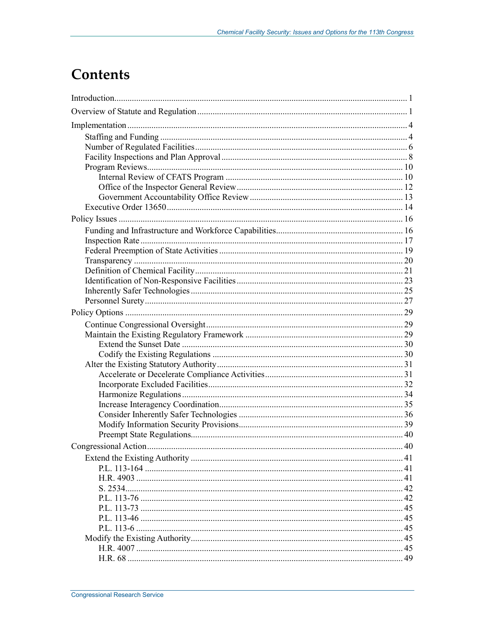## **Contents**

| 40 |
|----|
|    |
|    |
|    |
|    |
|    |
|    |
|    |
|    |
|    |
|    |
|    |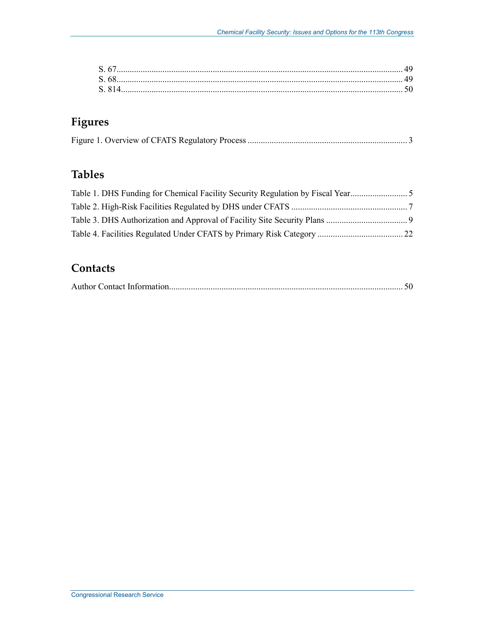| S 67  |  |
|-------|--|
| S 68  |  |
| S 814 |  |
|       |  |

## **Figures**

## **Tables**

## **Contacts**

|--|--|--|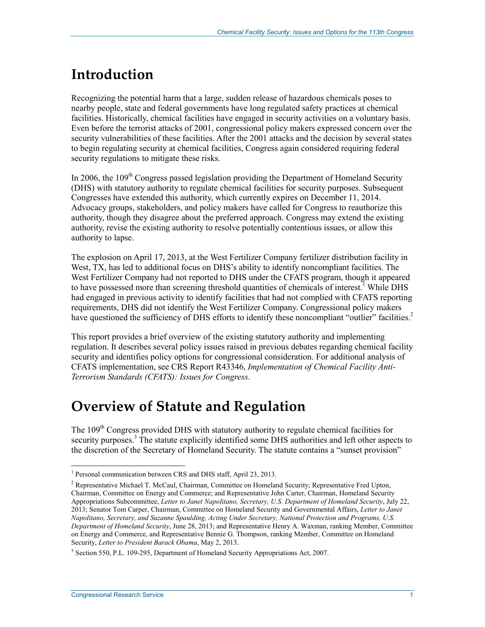## **Introduction**

Recognizing the potential harm that a large, sudden release of hazardous chemicals poses to nearby people, state and federal governments have long regulated safety practices at chemical facilities. Historically, chemical facilities have engaged in security activities on a voluntary basis. Even before the terrorist attacks of 2001, congressional policy makers expressed concern over the security vulnerabilities of these facilities. After the 2001 attacks and the decision by several states to begin regulating security at chemical facilities, Congress again considered requiring federal security regulations to mitigate these risks.

In 2006, the  $109<sup>th</sup>$  Congress passed legislation providing the Department of Homeland Security (DHS) with statutory authority to regulate chemical facilities for security purposes. Subsequent Congresses have extended this authority, which currently expires on December 11, 2014. Advocacy groups, stakeholders, and policy makers have called for Congress to reauthorize this authority, though they disagree about the preferred approach. Congress may extend the existing authority, revise the existing authority to resolve potentially contentious issues, or allow this authority to lapse.

The explosion on April 17, 2013, at the West Fertilizer Company fertilizer distribution facility in West, TX, has led to additional focus on DHS's ability to identify noncompliant facilities. The West Fertilizer Company had not reported to DHS under the CFATS program, though it appeared to have possessed more than screening threshold quantities of chemicals of interest.<sup>1</sup> While DHS had engaged in previous activity to identify facilities that had not complied with CFATS reporting requirements, DHS did not identify the West Fertilizer Company. Congressional policy makers have questioned the sufficiency of DHS efforts to identify these noncompliant "outlier" facilities.<sup>2</sup>

This report provides a brief overview of the existing statutory authority and implementing regulation. It describes several policy issues raised in previous debates regarding chemical facility security and identifies policy options for congressional consideration. For additional analysis of CFATS implementation, see CRS Report R43346, *Implementation of Chemical Facility Anti-Terrorism Standards (CFATS): Issues for Congress*.

## **Overview of Statute and Regulation**

The 109<sup>th</sup> Congress provided DHS with statutory authority to regulate chemical facilities for security purposes.<sup>3</sup> The statute explicitly identified some DHS authorities and left other aspects to the discretion of the Secretary of Homeland Security. The statute contains a "sunset provision"

<sup>&</sup>lt;sup>1</sup> Personal communication between CRS and DHS staff, April 23, 2013.

<sup>&</sup>lt;sup>2</sup> Representative Michael T. McCaul, Chairman, Committee on Homeland Security; Representative Fred Upton, Chairman, Committee on Energy and Commerce; and Representative John Carter, Chairman, Homeland Security Appropriations Subcommittee, *Letter to Janet Napolitano, Secretary, U.S. Department of Homeland Security*, July 22, 2013; Senator Tom Carper, Chairman, Committee on Homeland Security and Governmental Affairs, *Letter to Janet Napolitano, Secretary, and Suzanne Spaulding, Acting Under Secretary, National Protection and Programs, U.S. Department of Homeland Security*, June 28, 2013; and Representative Henry A. Waxman, ranking Member, Committee on Energy and Commerce, and Representative Bennie G. Thompson, ranking Member, Committee on Homeland Security, *Letter to President Barack Obama*, May 2, 2013.

<sup>&</sup>lt;sup>3</sup> Section 550, P.L. 109-295, Department of Homeland Security Appropriations Act, 2007.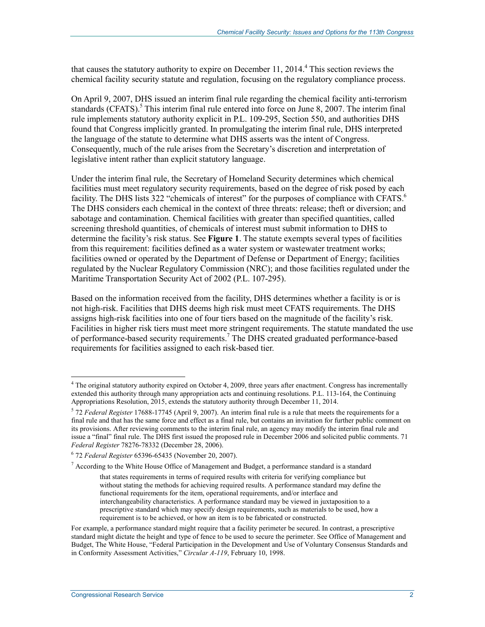that causes the statutory authority to expire on December 11, 2014.<sup>4</sup> This section reviews the chemical facility security statute and regulation, focusing on the regulatory compliance process.

On April 9, 2007, DHS issued an interim final rule regarding the chemical facility anti-terrorism standards (CFATS).<sup>5</sup> This interim final rule entered into force on June 8, 2007. The interim final rule implements statutory authority explicit in P.L. 109-295, Section 550, and authorities DHS found that Congress implicitly granted. In promulgating the interim final rule, DHS interpreted the language of the statute to determine what DHS asserts was the intent of Congress. Consequently, much of the rule arises from the Secretary's discretion and interpretation of legislative intent rather than explicit statutory language.

Under the interim final rule, the Secretary of Homeland Security determines which chemical facilities must meet regulatory security requirements, based on the degree of risk posed by each facility. The DHS lists 322 "chemicals of interest" for the purposes of compliance with CFATS.<sup>6</sup> The DHS considers each chemical in the context of three threats: release; theft or diversion; and sabotage and contamination. Chemical facilities with greater than specified quantities, called screening threshold quantities, of chemicals of interest must submit information to DHS to determine the facility's risk status. See **Figure 1**. The statute exempts several types of facilities from this requirement: facilities defined as a water system or wastewater treatment works; facilities owned or operated by the Department of Defense or Department of Energy; facilities regulated by the Nuclear Regulatory Commission (NRC); and those facilities regulated under the Maritime Transportation Security Act of 2002 (P.L. 107-295).

Based on the information received from the facility, DHS determines whether a facility is or is not high-risk. Facilities that DHS deems high risk must meet CFATS requirements. The DHS assigns high-risk facilities into one of four tiers based on the magnitude of the facility's risk. Facilities in higher risk tiers must meet more stringent requirements. The statute mandated the use of performance-based security requirements.<sup>7</sup> The DHS created graduated performance-based requirements for facilities assigned to each risk-based tier.

<sup>&</sup>lt;sup>4</sup> The original statutory authority expired on October 4, 2009, three years after enactment. Congress has incrementally extended this authority through many appropriation acts and continuing resolutions. P.L. 113-164, the Continuing Appropriations Resolution, 2015, extends the statutory authority through December 11, 2014.

<sup>5</sup> 72 *Federal Register* 17688-17745 (April 9, 2007). An interim final rule is a rule that meets the requirements for a final rule and that has the same force and effect as a final rule, but contains an invitation for further public comment on its provisions. After reviewing comments to the interim final rule, an agency may modify the interim final rule and issue a "final" final rule. The DHS first issued the proposed rule in December 2006 and solicited public comments. 71 *Federal Register* 78276-78332 (December 28, 2006).

<sup>6</sup> 72 *Federal Register* 65396-65435 (November 20, 2007).

<sup>&</sup>lt;sup>7</sup> According to the White House Office of Management and Budget, a performance standard is a standard

that states requirements in terms of required results with criteria for verifying compliance but without stating the methods for achieving required results. A performance standard may define the functional requirements for the item, operational requirements, and/or interface and interchangeability characteristics. A performance standard may be viewed in juxtaposition to a prescriptive standard which may specify design requirements, such as materials to be used, how a requirement is to be achieved, or how an item is to be fabricated or constructed.

For example, a performance standard might require that a facility perimeter be secured. In contrast, a prescriptive standard might dictate the height and type of fence to be used to secure the perimeter. See Office of Management and Budget, The White House, "Federal Participation in the Development and Use of Voluntary Consensus Standards and in Conformity Assessment Activities," *Circular A-119*, February 10, 1998.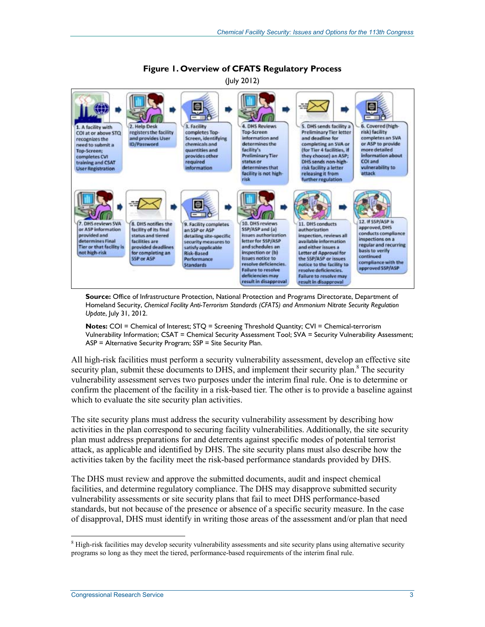

#### **Figure 1. Overview of CFATS Regulatory Process**  (July 2012)

**Source:** Office of Infrastructure Protection, National Protection and Programs Directorate, Department of Homeland Security, *Chemical Facility Anti-Terrorism Standards (CFATS) and Ammonium Nitrate Security Regulation Update*, July 31, 2012.

**Notes:** COI = Chemical of Interest; STQ = Screening Threshold Quantity; CVI = Chemical-terrorism Vulnerability Information; CSAT = Chemical Security Assessment Tool; SVA = Security Vulnerability Assessment; ASP = Alternative Security Program; SSP = Site Security Plan.

All high-risk facilities must perform a security vulnerability assessment, develop an effective site security plan, submit these documents to DHS, and implement their security plan.<sup>8</sup> The security vulnerability assessment serves two purposes under the interim final rule. One is to determine or confirm the placement of the facility in a risk-based tier. The other is to provide a baseline against which to evaluate the site security plan activities.

The site security plans must address the security vulnerability assessment by describing how activities in the plan correspond to securing facility vulnerabilities. Additionally, the site security plan must address preparations for and deterrents against specific modes of potential terrorist attack, as applicable and identified by DHS. The site security plans must also describe how the activities taken by the facility meet the risk-based performance standards provided by DHS.

The DHS must review and approve the submitted documents, audit and inspect chemical facilities, and determine regulatory compliance. The DHS may disapprove submitted security vulnerability assessments or site security plans that fail to meet DHS performance-based standards, but not because of the presence or absence of a specific security measure. In the case of disapproval, DHS must identify in writing those areas of the assessment and/or plan that need

<sup>&</sup>lt;sup>8</sup> High-risk facilities may develop security vulnerability assessments and site security plans using alternative security programs so long as they meet the tiered, performance-based requirements of the interim final rule.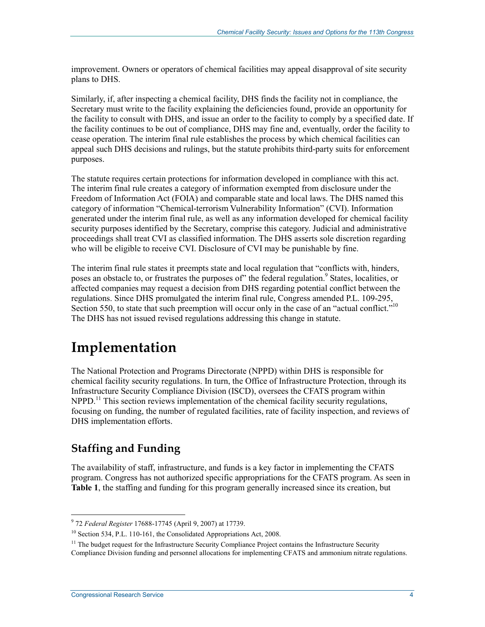improvement. Owners or operators of chemical facilities may appeal disapproval of site security plans to DHS.

Similarly, if, after inspecting a chemical facility, DHS finds the facility not in compliance, the Secretary must write to the facility explaining the deficiencies found, provide an opportunity for the facility to consult with DHS, and issue an order to the facility to comply by a specified date. If the facility continues to be out of compliance, DHS may fine and, eventually, order the facility to cease operation. The interim final rule establishes the process by which chemical facilities can appeal such DHS decisions and rulings, but the statute prohibits third-party suits for enforcement purposes.

The statute requires certain protections for information developed in compliance with this act. The interim final rule creates a category of information exempted from disclosure under the Freedom of Information Act (FOIA) and comparable state and local laws. The DHS named this category of information "Chemical-terrorism Vulnerability Information" (CVI). Information generated under the interim final rule, as well as any information developed for chemical facility security purposes identified by the Secretary, comprise this category. Judicial and administrative proceedings shall treat CVI as classified information. The DHS asserts sole discretion regarding who will be eligible to receive CVI. Disclosure of CVI may be punishable by fine.

The interim final rule states it preempts state and local regulation that "conflicts with, hinders, poses an obstacle to, or frustrates the purposes of" the federal regulation.<sup>9</sup> States, localities, or affected companies may request a decision from DHS regarding potential conflict between the regulations. Since DHS promulgated the interim final rule, Congress amended P.L. 109-295, Section 550, to state that such preemption will occur only in the case of an "actual conflict."<sup>10</sup> The DHS has not issued revised regulations addressing this change in statute.

## **Implementation**

The National Protection and Programs Directorate (NPPD) within DHS is responsible for chemical facility security regulations. In turn, the Office of Infrastructure Protection, through its Infrastructure Security Compliance Division (ISCD), oversees the CFATS program within  $NPPD<sup>11</sup>$  This section reviews implementation of the chemical facility security regulations, focusing on funding, the number of regulated facilities, rate of facility inspection, and reviews of DHS implementation efforts.

## **Staffing and Funding**

The availability of staff, infrastructure, and funds is a key factor in implementing the CFATS program. Congress has not authorized specific appropriations for the CFATS program. As seen in **Table 1**, the staffing and funding for this program generally increased since its creation, but

 9 72 *Federal Register* 17688-17745 (April 9, 2007) at 17739.

<sup>&</sup>lt;sup>10</sup> Section 534, P.L. 110-161, the Consolidated Appropriations Act, 2008.

 $11$  The budget request for the Infrastructure Security Compliance Project contains the Infrastructure Security

Compliance Division funding and personnel allocations for implementing CFATS and ammonium nitrate regulations.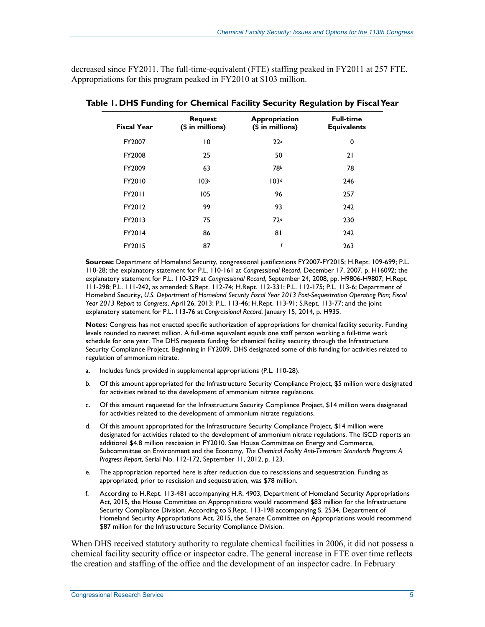decreased since FY2011. The full-time-equivalent (FTE) staffing peaked in FY2011 at 257 FTE. Appropriations for this program peaked in FY2010 at \$103 million.

| <b>Fiscal Year</b> | <b>Request</b><br>(\$ in millions) | Appropriation<br>(\$ in millions) | <b>Full-time</b><br><b>Equivalents</b> |
|--------------------|------------------------------------|-----------------------------------|----------------------------------------|
| FY2007             | $\overline{0}$                     | 22a                               | 0                                      |
| FY2008             | 25                                 | 50                                | 21                                     |
| FY2009             | 63                                 | 78b                               | 78                                     |
| FY2010             | 103c                               | 103 <sup>d</sup>                  | 246                                    |
| FY2011             | 105                                | 96                                | 257                                    |
| FY2012             | 99                                 | 93                                | 242                                    |
| FY2013             | 75                                 | 72 <sub>e</sub>                   | 230                                    |
| FY2014             | 86                                 | 81                                | 242                                    |
| FY2015             | 87                                 | $\mathsf{f}$                      | 263                                    |

**Table 1. DHS Funding for Chemical Facility Security Regulation by Fiscal Year** 

**Sources:** Department of Homeland Security, congressional justifications FY2007-FY2015; H.Rept. 109-699; P.L. 110-28; the explanatory statement for P.L. 110-161 at *Congressional Record*, December 17, 2007, p. H16092; the explanatory statement for P.L. 110-329 at *Congressional Record*, September 24, 2008, pp. H9806-H9807; H.Rept. 111-298; P.L. 111-242, as amended; S.Rept. 112-74; H.Rept. 112-331; P.L. 112-175; P.L. 113-6; Department of Homeland Security, *U.S. Department of Homeland Security Fiscal Year 2013 Post-Sequestration Operating Plan; Fiscal Year 2013 Report to Congress*, April 26, 2013; P.L. 113-46; H.Rept. 113-91; S.Rept. 113-77; and the joint explanatory statement for P.L. 113-76 at *Congressional Record*, January 15, 2014, p. H935.

**Notes:** Congress has not enacted specific authorization of appropriations for chemical facility security. Funding levels rounded to nearest million. A full-time equivalent equals one staff person working a full-time work schedule for one year. The DHS requests funding for chemical facility security through the Infrastructure Security Compliance Project. Beginning in FY2009, DHS designated some of this funding for activities related to regulation of ammonium nitrate.

- a. Includes funds provided in supplemental appropriations (P.L. 110-28).
- b. Of this amount appropriated for the Infrastructure Security Compliance Project, \$5 million were designated for activities related to the development of ammonium nitrate regulations.
- c. Of this amount requested for the Infrastructure Security Compliance Project, \$14 million were designated for activities related to the development of ammonium nitrate regulations.
- d. Of this amount appropriated for the Infrastructure Security Compliance Project, \$14 million were designated for activities related to the development of ammonium nitrate regulations. The ISCD reports an additional \$4.8 million rescission in FY2010. See House Committee on Energy and Commerce, Subcommittee on Environment and the Economy, *The Chemical Facility Anti-Terrorism Standards Program: A Progress Report*, Serial No. 112-172, September 11, 2012, p. 123.
- e. The appropriation reported here is after reduction due to rescissions and sequestration. Funding as appropriated, prior to rescission and sequestration, was \$78 million.
- f. According to H.Rept. 113-481 accompanying H.R. 4903, Department of Homeland Security Appropriations Act, 2015, the House Committee on Appropriations would recommend \$83 million for the Infrastructure Security Compliance Division. According to S.Rept. 113-198 accompanying S. 2534, Department of Homeland Security Appropriations Act, 2015, the Senate Committee on Appropriations would recommend \$87 million for the Infrastructure Security Compliance Division.

When DHS received statutory authority to regulate chemical facilities in 2006, it did not possess a chemical facility security office or inspector cadre. The general increase in FTE over time reflects the creation and staffing of the office and the development of an inspector cadre. In February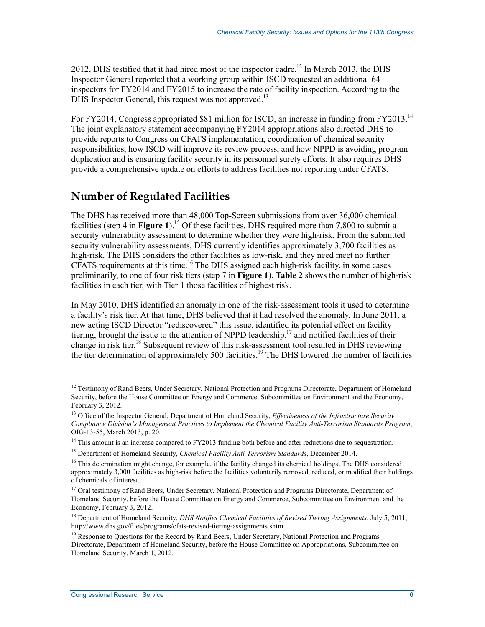2012, DHS testified that it had hired most of the inspector cadre.<sup>12</sup> In March 2013, the DHS Inspector General reported that a working group within ISCD requested an additional 64 inspectors for FY2014 and FY2015 to increase the rate of facility inspection. According to the DHS Inspector General, this request was not approved.<sup>13</sup>

For FY2014, Congress appropriated \$81 million for ISCD, an increase in funding from FY2013.<sup>14</sup> The joint explanatory statement accompanying FY2014 appropriations also directed DHS to provide reports to Congress on CFATS implementation, coordination of chemical security responsibilities, how ISCD will improve its review process, and how NPPD is avoiding program duplication and is ensuring facility security in its personnel surety efforts. It also requires DHS provide a comprehensive update on efforts to address facilities not reporting under CFATS.

### **Number of Regulated Facilities**

The DHS has received more than 48,000 Top-Screen submissions from over 36,000 chemical facilities (step 4 in **Figure 1**).<sup>15</sup> Of these facilities, DHS required more than 7,800 to submit a security vulnerability assessment to determine whether they were high-risk. From the submitted security vulnerability assessments, DHS currently identifies approximately 3,700 facilities as high-risk. The DHS considers the other facilities as low-risk, and they need meet no further CFATS requirements at this time.<sup>16</sup> The DHS assigned each high-risk facility, in some cases preliminarily, to one of four risk tiers (step 7 in **Figure 1**). **Table 2** shows the number of high-risk facilities in each tier, with Tier 1 those facilities of highest risk.

In May 2010, DHS identified an anomaly in one of the risk-assessment tools it used to determine a facility's risk tier. At that time, DHS believed that it had resolved the anomaly. In June 2011, a new acting ISCD Director "rediscovered" this issue, identified its potential effect on facility tiering, brought the issue to the attention of NPPD leadership,<sup>17</sup> and notified facilities of their change in risk tier.18 Subsequent review of this risk-assessment tool resulted in DHS reviewing the tier determination of approximately 500 facilities.<sup>19</sup> The DHS lowered the number of facilities

<u>.</u>

 $12$  Testimony of Rand Beers, Under Secretary, National Protection and Programs Directorate, Department of Homeland Security, before the House Committee on Energy and Commerce, Subcommittee on Environment and the Economy, February 3, 2012.

<sup>13</sup> Office of the Inspector General, Department of Homeland Security, *Effectiveness of the Infrastructure Security Compliance Division's Management Practices to Implement the Chemical Facility Anti-Terrorism Standards Program*, OIG-13-55, March 2013, p. 20.

<sup>&</sup>lt;sup>14</sup> This amount is an increase compared to FY2013 funding both before and after reductions due to sequestration.

<sup>15</sup> Department of Homeland Security, *Chemical Facility Anti-Terrorism Standards*, December 2014.

 $16$  This determination might change, for example, if the facility changed its chemical holdings. The DHS considered approximately 3,000 facilities as high-risk before the facilities voluntarily removed, reduced, or modified their holdings of chemicals of interest.

<sup>&</sup>lt;sup>17</sup> Oral testimony of Rand Beers, Under Secretary, National Protection and Programs Directorate, Department of Homeland Security, before the House Committee on Energy and Commerce, Subcommittee on Environment and the Economy, February 3, 2012.

<sup>18</sup> Department of Homeland Security, *DHS Notifies Chemical Facilities of Revised Tiering Assignments*, July 5, 2011, http://www.dhs.gov/files/programs/cfats-revised-tiering-assignments.shtm.

<sup>&</sup>lt;sup>19</sup> Response to Questions for the Record by Rand Beers, Under Secretary, National Protection and Programs Directorate, Department of Homeland Security, before the House Committee on Appropriations, Subcommittee on Homeland Security, March 1, 2012.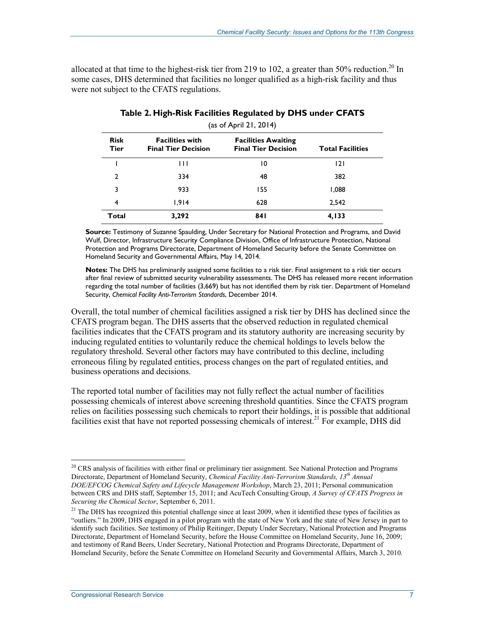allocated at that time to the highest-risk tier from 219 to 102, a greater than 50% reduction.<sup>20</sup> In some cases, DHS determined that facilities no longer qualified as a high-risk facility and thus were not subject to the CFATS regulations.

| (as of April 21, 2014) |                                                      |                                                          |                         |
|------------------------|------------------------------------------------------|----------------------------------------------------------|-------------------------|
| <b>Risk</b><br>Tier    | <b>Facilities with</b><br><b>Final Tier Decision</b> | <b>Facilities Awaiting</b><br><b>Final Tier Decision</b> | <b>Total Facilities</b> |
|                        | $\mathsf{H}$                                         | 10                                                       | 2                       |
| 2                      | 334                                                  | 48                                                       | 382                     |
| 3                      | 933                                                  | 155                                                      | 1,088                   |
| 4                      | 1.914                                                | 628                                                      | 2,542                   |
| Total                  | 3,292                                                | 841                                                      | 4,133                   |

#### **Table 2. High-Risk Facilities Regulated by DHS under CFATS**

**Source:** Testimony of Suzanne Spaulding, Under Secretary for National Protection and Programs, and David Wulf, Director, Infrastructure Security Compliance Division, Office of Infrastructure Protection, National Protection and Programs Directorate, Department of Homeland Security before the Senate Committee on Homeland Security and Governmental Affairs, May 14, 2014.

**Notes:** The DHS has preliminarily assigned some facilities to a risk tier. Final assignment to a risk tier occurs after final review of submitted security vulnerability assessments. The DHS has released more recent information regarding the total number of facilities (3,669) but has not identified them by risk tier. Department of Homeland Security, *Chemical Facility Anti-Terrorism Standards*, December 2014.

Overall, the total number of chemical facilities assigned a risk tier by DHS has declined since the CFATS program began. The DHS asserts that the observed reduction in regulated chemical facilities indicates that the CFATS program and its statutory authority are increasing security by inducing regulated entities to voluntarily reduce the chemical holdings to levels below the regulatory threshold. Several other factors may have contributed to this decline, including erroneous filing by regulated entities, process changes on the part of regulated entities, and business operations and decisions.

The reported total number of facilities may not fully reflect the actual number of facilities possessing chemicals of interest above screening threshold quantities. Since the CFATS program relies on facilities possessing such chemicals to report their holdings, it is possible that additional facilities exist that have not reported possessing chemicals of interest.<sup>21</sup> For example, DHS did

<u>.</u>

<sup>&</sup>lt;sup>20</sup> CRS analysis of facilities with either final or preliminary tier assignment. See National Protection and Programs Directorate, Department of Homeland Security, *Chemical Facility Anti-Terrorism Standards, 13th Annual DOE/EFCOG Chemical Safety and Lifecycle Management Workshop*, March 23, 2011; Personal communication between CRS and DHS staff, September 15, 2011; and AcuTech Consulting Group, *A Survey of CFATS Progress in Securing the Chemical Sector*, September 6, 2011.

<sup>&</sup>lt;sup>21</sup> The DHS has recognized this potential challenge since at least 2009, when it identified these types of facilities as "outliers." In 2009, DHS engaged in a pilot program with the state of New York and the state of New Jersey in part to identify such facilities. See testimony of Philip Reitinger, Deputy Under Secretary, National Protection and Programs Directorate, Department of Homeland Security, before the House Committee on Homeland Security, June 16, 2009; and testimony of Rand Beers, Under Secretary, National Protection and Programs Directorate, Department of Homeland Security, before the Senate Committee on Homeland Security and Governmental Affairs, March 3, 2010.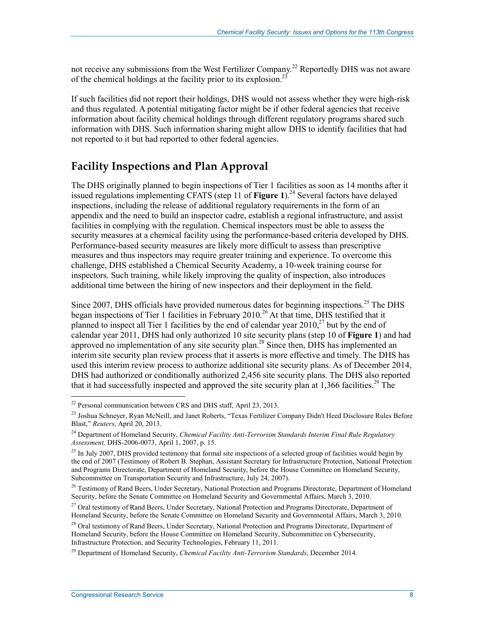not receive any submissions from the West Fertilizer Company.<sup>22</sup> Reportedly DHS was not aware of the chemical holdings at the facility prior to its explosion.<sup>23</sup>

If such facilities did not report their holdings, DHS would not assess whether they were high-risk and thus regulated. A potential mitigating factor might be if other federal agencies that receive information about facility chemical holdings through different regulatory programs shared such information with DHS. Such information sharing might allow DHS to identify facilities that had not reported to it but had reported to other federal agencies.

### **Facility Inspections and Plan Approval**

The DHS originally planned to begin inspections of Tier 1 facilities as soon as 14 months after it issued regulations implementing CFATS (step 11 of **Figure 1**).<sup>24</sup> Several factors have delayed inspections, including the release of additional regulatory requirements in the form of an appendix and the need to build an inspector cadre, establish a regional infrastructure, and assist facilities in complying with the regulation. Chemical inspectors must be able to assess the security measures at a chemical facility using the performance-based criteria developed by DHS. Performance-based security measures are likely more difficult to assess than prescriptive measures and thus inspectors may require greater training and experience. To overcome this challenge, DHS established a Chemical Security Academy, a 10-week training course for inspectors. Such training, while likely improving the quality of inspection, also introduces additional time between the hiring of new inspectors and their deployment in the field.

Since 2007, DHS officials have provided numerous dates for beginning inspections.<sup>25</sup> The DHS began inspections of Tier 1 facilities in February 2010.<sup>26</sup> At that time, DHS testified that it planned to inspect all Tier 1 facilities by the end of calendar year  $2010<sup>27</sup>$  but by the end of calendar year 2011, DHS had only authorized 10 site security plans (step 10 of **Figure 1**) and had approved no implementation of any site security plan.<sup>28</sup> Since then, DHS has implemented an interim site security plan review process that it asserts is more effective and timely. The DHS has used this interim review process to authorize additional site security plans. As of December 2014, DHS had authorized or conditionally authorized 2,456 site security plans. The DHS also reported that it had successfully inspected and approved the site security plan at 1,366 facilities.<sup>29</sup> The

 $22$  Personal communication between CRS and DHS staff, April 23, 2013.

<sup>&</sup>lt;sup>23</sup> Joshua Schneyer, Ryan McNeill, and Janet Roberts, "Texas Fertilizer Company Didn't Heed Disclosure Rules Before Blast," *Reuters*, April 20, 2013.

<sup>&</sup>lt;sup>24</sup> Department of Homeland Security, *Chemical Facility Anti-Terrorism Standards Interim Final Rule Regulatory Assessment,* DHS-2006-0073, April 1, 2007, p. 15.

<sup>&</sup>lt;sup>25</sup> In July 2007, DHS provided testimony that formal site inspections of a selected group of facilities would begin by the end of 2007 (Testimony of Robert B. Stephan, Assistant Secretary for Infrastructure Protection, National Protection and Programs Directorate, Department of Homeland Security, before the House Committee on Homeland Security, Subcommittee on Transportation Security and Infrastructure, July 24, 2007).

<sup>&</sup>lt;sup>26</sup> Testimony of Rand Beers, Under Secretary, National Protection and Programs Directorate, Department of Homeland Security, before the Senate Committee on Homeland Security and Governmental Affairs, March 3, 2010.

<sup>&</sup>lt;sup>27</sup> Oral testimony of Rand Beers, Under Secretary, National Protection and Programs Directorate, Department of Homeland Security, before the Senate Committee on Homeland Security and Governmental Affairs, March 3, 2010.

<sup>&</sup>lt;sup>28</sup> Oral testimony of Rand Beers, Under Secretary, National Protection and Programs Directorate, Department of Homeland Security, before the House Committee on Homeland Security, Subcommittee on Cybersecurity, Infrastructure Protection, and Security Technologies, February 11, 2011.

<sup>29</sup> Department of Homeland Security, *Chemical Facility Anti-Terrorism Standards*, December 2014.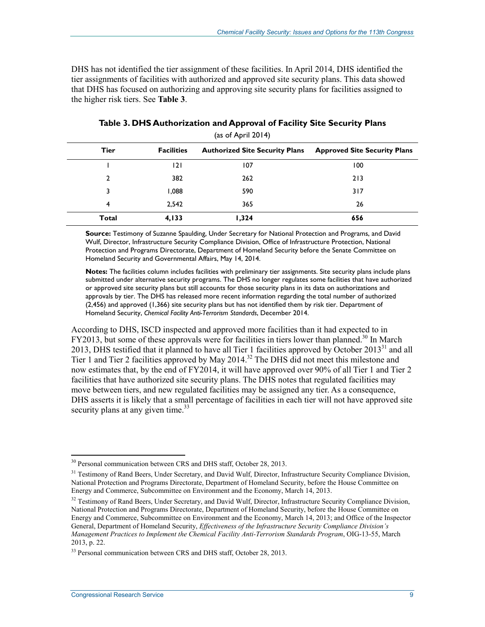DHS has not identified the tier assignment of these facilities. In April 2014, DHS identified the tier assignments of facilities with authorized and approved site security plans. This data showed that DHS has focused on authorizing and approving site security plans for facilities assigned to the higher risk tiers. See **Table 3**.

| $\frac{1}{2}$  |                   |                                       |                                     |
|----------------|-------------------|---------------------------------------|-------------------------------------|
| <b>Tier</b>    | <b>Facilities</b> | <b>Authorized Site Security Plans</b> | <b>Approved Site Security Plans</b> |
|                | 121               | 107                                   | 100                                 |
| $\overline{2}$ | 382               | 262                                   | 213                                 |
| 3              | 1,088             | 590                                   | 317                                 |
| 4              | 2,542             | 365                                   | 26                                  |
| Total          | 4,133             | 1,324                                 | 656                                 |

**Table 3. DHS Authorization and Approval of Facility Site Security Plans**  (as of April 2014)

**Source:** Testimony of Suzanne Spaulding, Under Secretary for National Protection and Programs, and David Wulf, Director, Infrastructure Security Compliance Division, Office of Infrastructure Protection, National Protection and Programs Directorate, Department of Homeland Security before the Senate Committee on Homeland Security and Governmental Affairs, May 14, 2014.

**Notes:** The facilities column includes facilities with preliminary tier assignments. Site security plans include plans submitted under alternative security programs. The DHS no longer regulates some facilities that have authorized or approved site security plans but still accounts for those security plans in its data on authorizations and approvals by tier. The DHS has released more recent information regarding the total number of authorized (2,456) and approved (1,366) site security plans but has not identified them by risk tier. Department of Homeland Security, *Chemical Facility Anti-Terrorism Standards*, December 2014.

According to DHS, ISCD inspected and approved more facilities than it had expected to in FY2013, but some of these approvals were for facilities in tiers lower than planned.<sup>30</sup> In March 2013, DHS testified that it planned to have all Tier 1 facilities approved by October 2013<sup>31</sup> and all Tier 1 and Tier 2 facilities approved by May 2014.<sup>32</sup> The DHS did not meet this milestone and now estimates that, by the end of FY2014, it will have approved over 90% of all Tier 1 and Tier 2 facilities that have authorized site security plans. The DHS notes that regulated facilities may move between tiers, and new regulated facilities may be assigned any tier. As a consequence, DHS asserts it is likely that a small percentage of facilities in each tier will not have approved site security plans at any given time.<sup>33</sup>

<u>.</u>

<sup>&</sup>lt;sup>30</sup> Personal communication between CRS and DHS staff, October 28, 2013.

<sup>&</sup>lt;sup>31</sup> Testimony of Rand Beers, Under Secretary, and David Wulf, Director, Infrastructure Security Compliance Division, National Protection and Programs Directorate, Department of Homeland Security, before the House Committee on Energy and Commerce, Subcommittee on Environment and the Economy, March 14, 2013.

 $32$  Testimony of Rand Beers, Under Secretary, and David Wulf, Director, Infrastructure Security Compliance Division, National Protection and Programs Directorate, Department of Homeland Security, before the House Committee on Energy and Commerce, Subcommittee on Environment and the Economy, March 14, 2013; and Office of the Inspector General, Department of Homeland Security, *Effectiveness of the Infrastructure Security Compliance Division's Management Practices to Implement the Chemical Facility Anti-Terrorism Standards Program*, OIG-13-55, March 2013, p. 22.

<sup>&</sup>lt;sup>33</sup> Personal communication between CRS and DHS staff, October 28, 2013.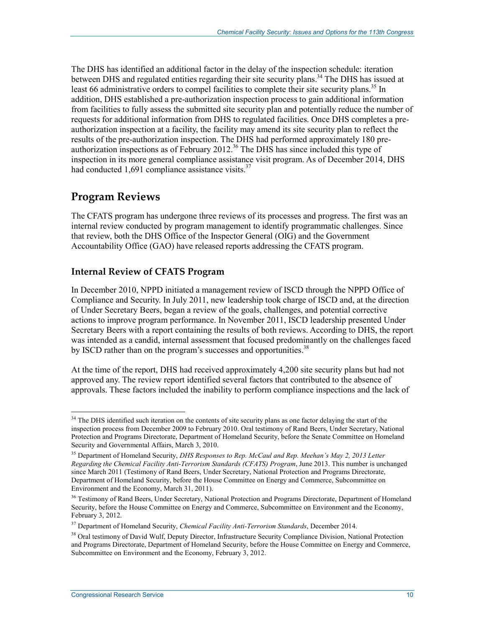The DHS has identified an additional factor in the delay of the inspection schedule: iteration between DHS and regulated entities regarding their site security plans.<sup>34</sup> The DHS has issued at least 66 administrative orders to compel facilities to complete their site security plans.<sup>35</sup> In addition, DHS established a pre-authorization inspection process to gain additional information from facilities to fully assess the submitted site security plan and potentially reduce the number of requests for additional information from DHS to regulated facilities. Once DHS completes a preauthorization inspection at a facility, the facility may amend its site security plan to reflect the results of the pre-authorization inspection. The DHS had performed approximately 180 preauthorization inspections as of February  $2012<sup>36</sup>$  The DHS has since included this type of inspection in its more general compliance assistance visit program. As of December 2014, DHS had conducted  $1,691$  compliance assistance visits.<sup>37</sup>

## **Program Reviews**

The CFATS program has undergone three reviews of its processes and progress. The first was an internal review conducted by program management to identify programmatic challenges. Since that review, both the DHS Office of the Inspector General (OIG) and the Government Accountability Office (GAO) have released reports addressing the CFATS program.

#### **Internal Review of CFATS Program**

In December 2010, NPPD initiated a management review of ISCD through the NPPD Office of Compliance and Security. In July 2011, new leadership took charge of ISCD and, at the direction of Under Secretary Beers, began a review of the goals, challenges, and potential corrective actions to improve program performance. In November 2011, ISCD leadership presented Under Secretary Beers with a report containing the results of both reviews. According to DHS, the report was intended as a candid, internal assessment that focused predominantly on the challenges faced by ISCD rather than on the program's successes and opportunities.<sup>38</sup>

At the time of the report, DHS had received approximately 4,200 site security plans but had not approved any. The review report identified several factors that contributed to the absence of approvals. These factors included the inability to perform compliance inspections and the lack of

<u>.</u>

<sup>&</sup>lt;sup>34</sup> The DHS identified such iteration on the contents of site security plans as one factor delaying the start of the inspection process from December 2009 to February 2010. Oral testimony of Rand Beers, Under Secretary, National Protection and Programs Directorate, Department of Homeland Security, before the Senate Committee on Homeland Security and Governmental Affairs, March 3, 2010.

<sup>35</sup> Department of Homeland Security, *DHS Responses to Rep. McCaul and Rep. Meehan's May 2, 2013 Letter Regarding the Chemical Facility Anti-Terrorism Standards (CFATS) Program*, June 2013. This number is unchanged since March 2011 (Testimony of Rand Beers, Under Secretary, National Protection and Programs Directorate, Department of Homeland Security, before the House Committee on Energy and Commerce, Subcommittee on Environment and the Economy, March 31, 2011).

<sup>&</sup>lt;sup>36</sup> Testimony of Rand Beers, Under Secretary, National Protection and Programs Directorate, Department of Homeland Security, before the House Committee on Energy and Commerce, Subcommittee on Environment and the Economy, February 3, 2012.

<sup>37</sup> Department of Homeland Security, *Chemical Facility Anti-Terrorism Standards*, December 2014.

<sup>&</sup>lt;sup>38</sup> Oral testimony of David Wulf, Deputy Director, Infrastructure Security Compliance Division, National Protection and Programs Directorate, Department of Homeland Security, before the House Committee on Energy and Commerce, Subcommittee on Environment and the Economy, February 3, 2012.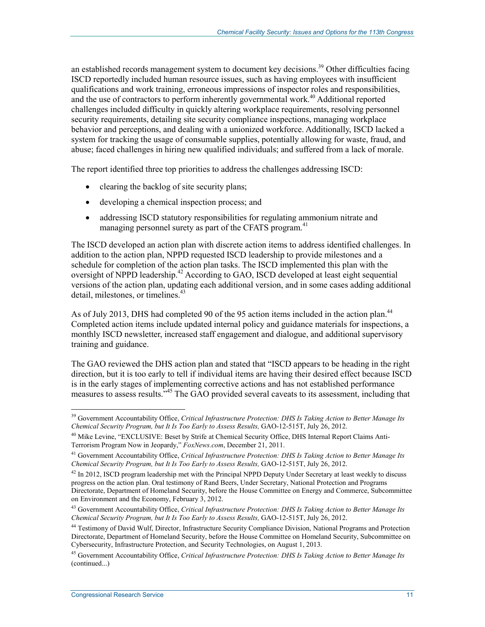an established records management system to document key decisions.<sup>39</sup> Other difficulties facing ISCD reportedly included human resource issues, such as having employees with insufficient qualifications and work training, erroneous impressions of inspector roles and responsibilities, and the use of contractors to perform inherently governmental work.<sup>40</sup> Additional reported challenges included difficulty in quickly altering workplace requirements, resolving personnel security requirements, detailing site security compliance inspections, managing workplace behavior and perceptions, and dealing with a unionized workforce. Additionally, ISCD lacked a system for tracking the usage of consumable supplies, potentially allowing for waste, fraud, and abuse; faced challenges in hiring new qualified individuals; and suffered from a lack of morale.

The report identified three top priorities to address the challenges addressing ISCD:

- clearing the backlog of site security plans;
- developing a chemical inspection process; and
- addressing ISCD statutory responsibilities for regulating ammonium nitrate and managing personnel surety as part of the CFATS program.<sup>41</sup>

The ISCD developed an action plan with discrete action items to address identified challenges. In addition to the action plan, NPPD requested ISCD leadership to provide milestones and a schedule for completion of the action plan tasks. The ISCD implemented this plan with the oversight of NPPD leadership.<sup>42</sup> According to GAO, ISCD developed at least eight sequential versions of the action plan, updating each additional version, and in some cases adding additional detail, milestones, or timelines.<sup>43</sup>

As of July 2013, DHS had completed 90 of the 95 action items included in the action plan.<sup>44</sup> Completed action items include updated internal policy and guidance materials for inspections, a monthly ISCD newsletter, increased staff engagement and dialogue, and additional supervisory training and guidance.

The GAO reviewed the DHS action plan and stated that "ISCD appears to be heading in the right direction, but it is too early to tell if individual items are having their desired effect because ISCD is in the early stages of implementing corrective actions and has not established performance measures to assess results.<sup>345</sup> The GAO provided several caveats to its assessment, including that

<sup>&</sup>lt;u>.</u> 39 Government Accountability Office, *Critical Infrastructure Protection: DHS Is Taking Action to Better Manage Its Chemical Security Program, but It Is Too Early to Assess Results,* GAO-12-515T, July 26, 2012.

<sup>&</sup>lt;sup>40</sup> Mike Levine, "EXCLUSIVE: Beset by Strife at Chemical Security Office, DHS Internal Report Claims Anti-Terrorism Program Now in Jeopardy," *FoxNews.com*, December 21, 2011.

<sup>41</sup> Government Accountability Office, *Critical Infrastructure Protection: DHS Is Taking Action to Better Manage Its Chemical Security Program, but It Is Too Early to Assess Results,* GAO-12-515T, July 26, 2012.

 $^{42}$  In 2012, ISCD program leadership met with the Principal NPPD Deputy Under Secretary at least weekly to discuss progress on the action plan. Oral testimony of Rand Beers, Under Secretary, National Protection and Programs Directorate, Department of Homeland Security, before the House Committee on Energy and Commerce, Subcommittee on Environment and the Economy, February 3, 2012.

<sup>43</sup> Government Accountability Office, *Critical Infrastructure Protection: DHS Is Taking Action to Better Manage Its Chemical Security Program, but It Is Too Early to Assess Results,* GAO-12-515T, July 26, 2012.

<sup>44</sup> Testimony of David Wulf, Director, Infrastructure Security Compliance Division, National Programs and Protection Directorate, Department of Homeland Security, before the House Committee on Homeland Security, Subcommittee on Cybersecurity, Infrastructure Protection, and Security Technologies, on August 1, 2013.

<sup>45</sup> Government Accountability Office, *Critical Infrastructure Protection: DHS Is Taking Action to Better Manage Its*  (continued...)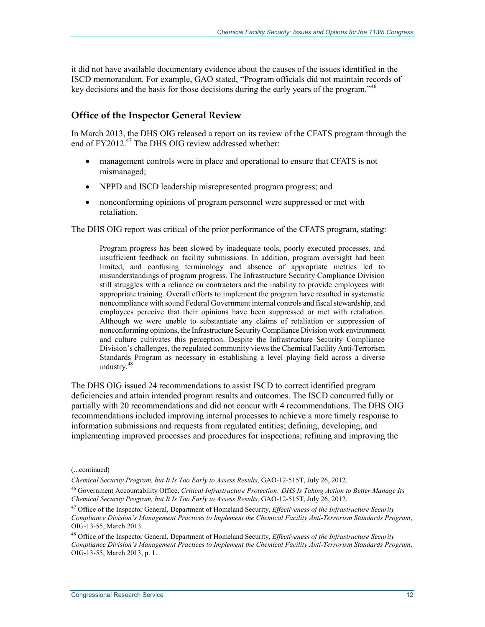it did not have available documentary evidence about the causes of the issues identified in the ISCD memorandum. For example, GAO stated, "Program officials did not maintain records of key decisions and the basis for those decisions during the early years of the program."<sup>46</sup>

#### **Office of the Inspector General Review**

In March 2013, the DHS OIG released a report on its review of the CFATS program through the end of FY2012.<sup>47</sup> The DHS OIG review addressed whether:

- management controls were in place and operational to ensure that CFATS is not mismanaged;
- NPPD and ISCD leadership misrepresented program progress; and
- nonconforming opinions of program personnel were suppressed or met with retaliation.

The DHS OIG report was critical of the prior performance of the CFATS program, stating:

Program progress has been slowed by inadequate tools, poorly executed processes, and insufficient feedback on facility submissions. In addition, program oversight had been limited, and confusing terminology and absence of appropriate metrics led to misunderstandings of program progress. The Infrastructure Security Compliance Division still struggles with a reliance on contractors and the inability to provide employees with appropriate training. Overall efforts to implement the program have resulted in systematic noncompliance with sound Federal Government internal controls and fiscal stewardship, and employees perceive that their opinions have been suppressed or met with retaliation. Although we were unable to substantiate any claims of retaliation or suppression of nonconforming opinions, the Infrastructure Security Compliance Division work environment and culture cultivates this perception. Despite the Infrastructure Security Compliance Division's challenges, the regulated community views the Chemical Facility Anti-Terrorism Standards Program as necessary in establishing a level playing field across a diverse industry.<sup>48</sup>

The DHS OIG issued 24 recommendations to assist ISCD to correct identified program deficiencies and attain intended program results and outcomes. The ISCD concurred fully or partially with 20 recommendations and did not concur with 4 recommendations. The DHS OIG recommendations included improving internal processes to achieve a more timely response to information submissions and requests from regulated entities; defining, developing, and implementing improved processes and procedures for inspections; refining and improving the

<sup>(...</sup>continued)

*Chemical Security Program, but It Is Too Early to Assess Results,* GAO-12-515T, July 26, 2012.

<sup>46</sup> Government Accountability Office, *Critical Infrastructure Protection: DHS Is Taking Action to Better Manage Its Chemical Security Program, but It Is Too Early to Assess Results,* GAO-12-515T, July 26, 2012.

<sup>47</sup> Office of the Inspector General, Department of Homeland Security, *Effectiveness of the Infrastructure Security Compliance Division's Management Practices to Implement the Chemical Facility Anti-Terrorism Standards Program*, OIG-13-55, March 2013.

<sup>48</sup> Office of the Inspector General, Department of Homeland Security, *Effectiveness of the Infrastructure Security Compliance Division's Management Practices to Implement the Chemical Facility Anti-Terrorism Standards Program*, OIG-13-55, March 2013, p. 1.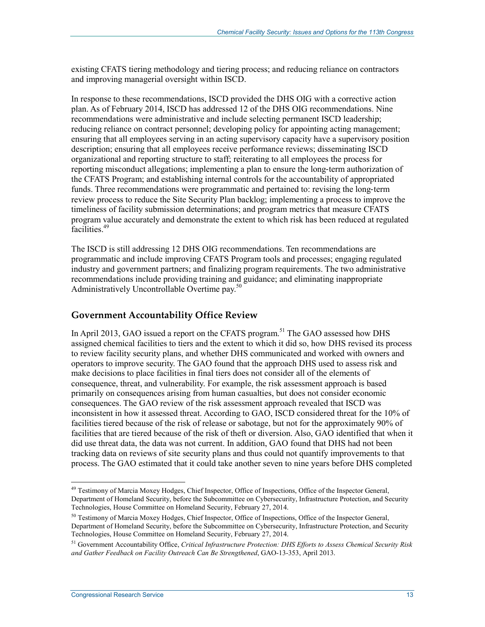existing CFATS tiering methodology and tiering process; and reducing reliance on contractors and improving managerial oversight within ISCD.

In response to these recommendations, ISCD provided the DHS OIG with a corrective action plan. As of February 2014, ISCD has addressed 12 of the DHS OIG recommendations. Nine recommendations were administrative and include selecting permanent ISCD leadership; reducing reliance on contract personnel; developing policy for appointing acting management; ensuring that all employees serving in an acting supervisory capacity have a supervisory position description; ensuring that all employees receive performance reviews; disseminating ISCD organizational and reporting structure to staff; reiterating to all employees the process for reporting misconduct allegations; implementing a plan to ensure the long-term authorization of the CFATS Program; and establishing internal controls for the accountability of appropriated funds. Three recommendations were programmatic and pertained to: revising the long-term review process to reduce the Site Security Plan backlog; implementing a process to improve the timeliness of facility submission determinations; and program metrics that measure CFATS program value accurately and demonstrate the extent to which risk has been reduced at regulated facilities.49

The ISCD is still addressing 12 DHS OIG recommendations. Ten recommendations are programmatic and include improving CFATS Program tools and processes; engaging regulated industry and government partners; and finalizing program requirements. The two administrative recommendations include providing training and guidance; and eliminating inappropriate Administratively Uncontrollable Overtime pay.<sup>50</sup>

#### **Government Accountability Office Review**

In April 2013, GAO issued a report on the CFATS program.<sup>51</sup> The GAO assessed how DHS assigned chemical facilities to tiers and the extent to which it did so, how DHS revised its process to review facility security plans, and whether DHS communicated and worked with owners and operators to improve security. The GAO found that the approach DHS used to assess risk and make decisions to place facilities in final tiers does not consider all of the elements of consequence, threat, and vulnerability. For example, the risk assessment approach is based primarily on consequences arising from human casualties, but does not consider economic consequences. The GAO review of the risk assessment approach revealed that ISCD was inconsistent in how it assessed threat. According to GAO, ISCD considered threat for the 10% of facilities tiered because of the risk of release or sabotage, but not for the approximately 90% of facilities that are tiered because of the risk of theft or diversion. Also, GAO identified that when it did use threat data, the data was not current. In addition, GAO found that DHS had not been tracking data on reviews of site security plans and thus could not quantify improvements to that process. The GAO estimated that it could take another seven to nine years before DHS completed

<sup>1</sup> <sup>49</sup> Testimony of Marcia Moxey Hodges, Chief Inspector, Office of Inspections, Office of the Inspector General, Department of Homeland Security, before the Subcommittee on Cybersecurity, Infrastructure Protection, and Security Technologies, House Committee on Homeland Security, February 27, 2014.

<sup>&</sup>lt;sup>50</sup> Testimony of Marcia Moxey Hodges, Chief Inspector, Office of Inspections, Office of the Inspector General, Department of Homeland Security, before the Subcommittee on Cybersecurity, Infrastructure Protection, and Security Technologies, House Committee on Homeland Security, February 27, 2014.

<sup>51</sup> Government Accountability Office, *Critical Infrastructure Protection: DHS Efforts to Assess Chemical Security Risk and Gather Feedback on Facility Outreach Can Be Strengthened*, GAO-13-353, April 2013.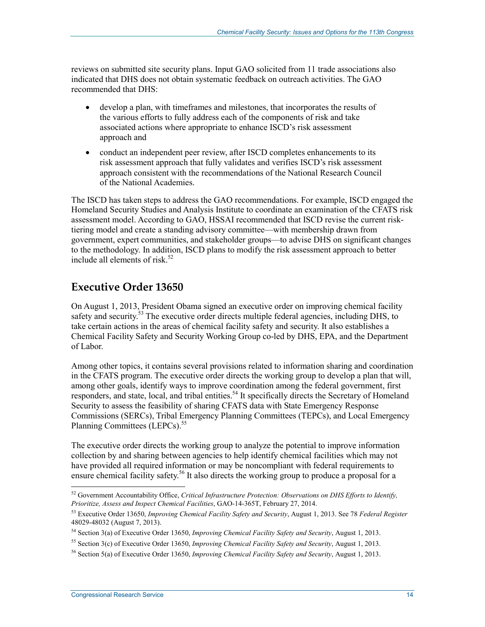reviews on submitted site security plans. Input GAO solicited from 11 trade associations also indicated that DHS does not obtain systematic feedback on outreach activities. The GAO recommended that DHS:

- develop a plan, with timeframes and milestones, that incorporates the results of the various efforts to fully address each of the components of risk and take associated actions where appropriate to enhance ISCD's risk assessment approach and
- conduct an independent peer review, after ISCD completes enhancements to its risk assessment approach that fully validates and verifies ISCD's risk assessment approach consistent with the recommendations of the National Research Council of the National Academies.

The ISCD has taken steps to address the GAO recommendations. For example, ISCD engaged the Homeland Security Studies and Analysis Institute to coordinate an examination of the CFATS risk assessment model. According to GAO, HSSAI recommended that ISCD revise the current risktiering model and create a standing advisory committee—with membership drawn from government, expert communities, and stakeholder groups—to advise DHS on significant changes to the methodology. In addition, ISCD plans to modify the risk assessment approach to better include all elements of risk.<sup>52</sup>

## **Executive Order 13650**

On August 1, 2013, President Obama signed an executive order on improving chemical facility safety and security.<sup>53</sup> The executive order directs multiple federal agencies, including DHS, to take certain actions in the areas of chemical facility safety and security. It also establishes a Chemical Facility Safety and Security Working Group co-led by DHS, EPA, and the Department of Labor.

Among other topics, it contains several provisions related to information sharing and coordination in the CFATS program. The executive order directs the working group to develop a plan that will, among other goals, identify ways to improve coordination among the federal government, first responders, and state, local, and tribal entities.<sup>54</sup> It specifically directs the Secretary of Homeland Security to assess the feasibility of sharing CFATS data with State Emergency Response Commissions (SERCs), Tribal Emergency Planning Committees (TEPCs), and Local Emergency Planning Committees (LEPCs).<sup>55</sup>

The executive order directs the working group to analyze the potential to improve information collection by and sharing between agencies to help identify chemical facilities which may not have provided all required information or may be noncompliant with federal requirements to ensure chemical facility safety.<sup>56</sup> It also directs the working group to produce a proposal for a

<sup>1</sup> 52 Government Accountability Office, *Critical Infrastructure Protection: Observations on DHS Efforts to Identify, Prioritize, Assess and Inspect Chemical Facilities*, GAO-14-365T, February 27, 2014.

<sup>53</sup> Executive Order 13650, *Improving Chemical Facility Safety and Security*, August 1, 2013. See 78 *Federal Register* 48029-48032 (August 7, 2013).

<sup>54</sup> Section 3(a) of Executive Order 13650, *Improving Chemical Facility Safety and Security*, August 1, 2013.

<sup>55</sup> Section 3(c) of Executive Order 13650, *Improving Chemical Facility Safety and Security*, August 1, 2013.

<sup>56</sup> Section 5(a) of Executive Order 13650, *Improving Chemical Facility Safety and Security*, August 1, 2013.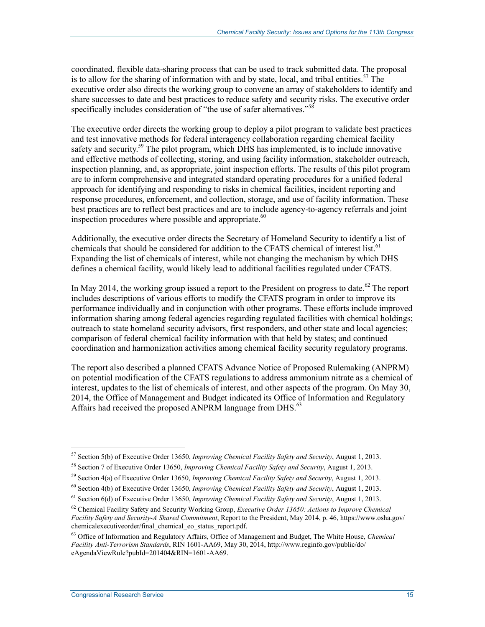coordinated, flexible data-sharing process that can be used to track submitted data. The proposal is to allow for the sharing of information with and by state, local, and tribal entities.<sup>57</sup> The executive order also directs the working group to convene an array of stakeholders to identify and share successes to date and best practices to reduce safety and security risks. The executive order specifically includes consideration of "the use of safer alternatives."<sup>58</sup>

The executive order directs the working group to deploy a pilot program to validate best practices and test innovative methods for federal interagency collaboration regarding chemical facility safety and security.<sup>59</sup> The pilot program, which DHS has implemented, is to include innovative and effective methods of collecting, storing, and using facility information, stakeholder outreach, inspection planning, and, as appropriate, joint inspection efforts. The results of this pilot program are to inform comprehensive and integrated standard operating procedures for a unified federal approach for identifying and responding to risks in chemical facilities, incident reporting and response procedures, enforcement, and collection, storage, and use of facility information. These best practices are to reflect best practices and are to include agency-to-agency referrals and joint inspection procedures where possible and appropriate. $60$ 

Additionally, the executive order directs the Secretary of Homeland Security to identify a list of chemicals that should be considered for addition to the CFATS chemical of interest list.<sup>61</sup> Expanding the list of chemicals of interest, while not changing the mechanism by which DHS defines a chemical facility, would likely lead to additional facilities regulated under CFATS.

In May 2014, the working group issued a report to the President on progress to date.<sup>62</sup> The report includes descriptions of various efforts to modify the CFATS program in order to improve its performance individually and in conjunction with other programs. These efforts include improved information sharing among federal agencies regarding regulated facilities with chemical holdings; outreach to state homeland security advisors, first responders, and other state and local agencies; comparison of federal chemical facility information with that held by states; and continued coordination and harmonization activities among chemical facility security regulatory programs.

The report also described a planned CFATS Advance Notice of Proposed Rulemaking (ANPRM) on potential modification of the CFATS regulations to address ammonium nitrate as a chemical of interest, updates to the list of chemicals of interest, and other aspects of the program. On May 30, 2014, the Office of Management and Budget indicated its Office of Information and Regulatory Affairs had received the proposed ANPRM language from DHS.<sup>63</sup>

<u>.</u>

<sup>57</sup> Section 5(b) of Executive Order 13650, *Improving Chemical Facility Safety and Security*, August 1, 2013.

<sup>58</sup> Section 7 of Executive Order 13650, *Improving Chemical Facility Safety and Security*, August 1, 2013.

<sup>59</sup> Section 4(a) of Executive Order 13650, *Improving Chemical Facility Safety and Security*, August 1, 2013.

<sup>60</sup> Section 4(b) of Executive Order 13650, *Improving Chemical Facility Safety and Security*, August 1, 2013.

<sup>61</sup> Section 6(d) of Executive Order 13650, *Improving Chemical Facility Safety and Security*, August 1, 2013.

<sup>62</sup> Chemical Facility Safety and Security Working Group, *Executive Order 13650: Actions to Improve Chemical Facility Safety and Security-A Shared Commitment*, Report to the President, May 2014, p. 46, https://www.osha.gov/ chemicalexecutiveorder/final\_chemical\_eo\_status\_report.pdf.

<sup>63</sup> Office of Information and Regulatory Affairs, Office of Management and Budget, The White House, *Chemical Facility Anti-Terrorism Standards*, RIN 1601-AA69, May 30, 2014, http://www.reginfo.gov/public/do/ eAgendaViewRule?pubId=201404&RIN=1601-AA69.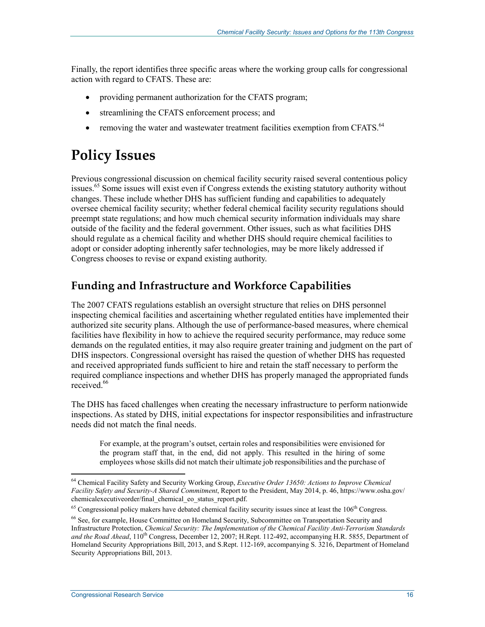Finally, the report identifies three specific areas where the working group calls for congressional action with regard to CFATS. These are:

- providing permanent authorization for the CFATS program;
- streamlining the CFATS enforcement process; and
- removing the water and wastewater treatment facilities exemption from CFATS.<sup>64</sup>

## **Policy Issues**

Previous congressional discussion on chemical facility security raised several contentious policy issues.<sup>65</sup> Some issues will exist even if Congress extends the existing statutory authority without changes. These include whether DHS has sufficient funding and capabilities to adequately oversee chemical facility security; whether federal chemical facility security regulations should preempt state regulations; and how much chemical security information individuals may share outside of the facility and the federal government. Other issues, such as what facilities DHS should regulate as a chemical facility and whether DHS should require chemical facilities to adopt or consider adopting inherently safer technologies, may be more likely addressed if Congress chooses to revise or expand existing authority.

## **Funding and Infrastructure and Workforce Capabilities**

The 2007 CFATS regulations establish an oversight structure that relies on DHS personnel inspecting chemical facilities and ascertaining whether regulated entities have implemented their authorized site security plans. Although the use of performance-based measures, where chemical facilities have flexibility in how to achieve the required security performance, may reduce some demands on the regulated entities, it may also require greater training and judgment on the part of DHS inspectors. Congressional oversight has raised the question of whether DHS has requested and received appropriated funds sufficient to hire and retain the staff necessary to perform the required compliance inspections and whether DHS has properly managed the appropriated funds received<sup>66</sup>

The DHS has faced challenges when creating the necessary infrastructure to perform nationwide inspections. As stated by DHS, initial expectations for inspector responsibilities and infrastructure needs did not match the final needs.

For example, at the program's outset, certain roles and responsibilities were envisioned for the program staff that, in the end, did not apply. This resulted in the hiring of some employees whose skills did not match their ultimate job responsibilities and the purchase of

<sup>1</sup> 64 Chemical Facility Safety and Security Working Group, *Executive Order 13650: Actions to Improve Chemical Facility Safety and Security-A Shared Commitment*, Report to the President, May 2014, p. 46, https://www.osha.gov/ chemicalexecutiveorder/final\_chemical\_eo\_status\_report.pdf.

 $65$  Congressional policy makers have debated chemical facility security issues since at least the  $106<sup>th</sup>$  Congress.

<sup>66</sup> See, for example, House Committee on Homeland Security, Subcommittee on Transportation Security and Infrastructure Protection, *Chemical Security: The Implementation of the Chemical Facility Anti-Terrorism Standards*  and the Road Ahead, 110<sup>th</sup> Congress, December 12, 2007; H.Rept. 112-492, accompanying H.R. 5855, Department of Homeland Security Appropriations Bill, 2013, and S.Rept. 112-169, accompanying S. 3216, Department of Homeland Security Appropriations Bill, 2013.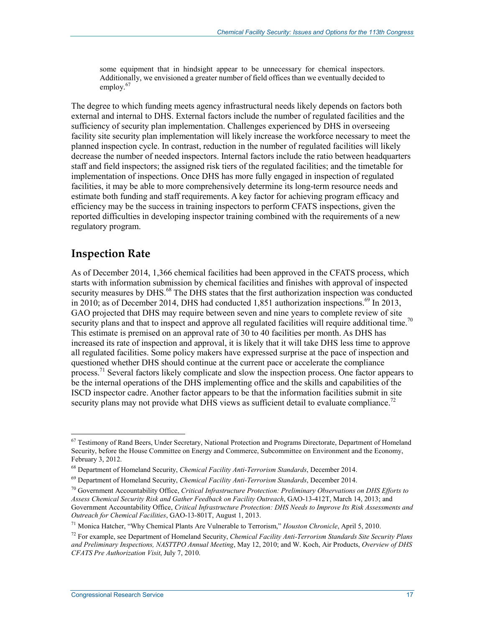some equipment that in hindsight appear to be unnecessary for chemical inspectors. Additionally, we envisioned a greater number of field offices than we eventually decided to employ.<sup>67</sup>

The degree to which funding meets agency infrastructural needs likely depends on factors both external and internal to DHS. External factors include the number of regulated facilities and the sufficiency of security plan implementation. Challenges experienced by DHS in overseeing facility site security plan implementation will likely increase the workforce necessary to meet the planned inspection cycle. In contrast, reduction in the number of regulated facilities will likely decrease the number of needed inspectors. Internal factors include the ratio between headquarters staff and field inspectors; the assigned risk tiers of the regulated facilities; and the timetable for implementation of inspections. Once DHS has more fully engaged in inspection of regulated facilities, it may be able to more comprehensively determine its long-term resource needs and estimate both funding and staff requirements. A key factor for achieving program efficacy and efficiency may be the success in training inspectors to perform CFATS inspections, given the reported difficulties in developing inspector training combined with the requirements of a new regulatory program.

#### **Inspection Rate**

<u>.</u>

As of December 2014, 1,366 chemical facilities had been approved in the CFATS process, which starts with information submission by chemical facilities and finishes with approval of inspected security measures by DHS.<sup>68</sup> The DHS states that the first authorization inspection was conducted in 2010; as of December 2014, DHS had conducted 1,851 authorization inspections.<sup>69</sup> In 2013, GAO projected that DHS may require between seven and nine years to complete review of site security plans and that to inspect and approve all regulated facilities will require additional time.<sup>70</sup> This estimate is premised on an approval rate of 30 to 40 facilities per month. As DHS has increased its rate of inspection and approval, it is likely that it will take DHS less time to approve all regulated facilities. Some policy makers have expressed surprise at the pace of inspection and questioned whether DHS should continue at the current pace or accelerate the compliance process.<sup>71</sup> Several factors likely complicate and slow the inspection process. One factor appears to be the internal operations of the DHS implementing office and the skills and capabilities of the ISCD inspector cadre. Another factor appears to be that the information facilities submit in site security plans may not provide what DHS views as sufficient detail to evaluate compliance.<sup>72</sup>

 $67$  Testimony of Rand Beers, Under Secretary, National Protection and Programs Directorate, Department of Homeland Security, before the House Committee on Energy and Commerce, Subcommittee on Environment and the Economy, February 3, 2012.

<sup>68</sup> Department of Homeland Security, *Chemical Facility Anti-Terrorism Standards*, December 2014.

<sup>69</sup> Department of Homeland Security, *Chemical Facility Anti-Terrorism Standards*, December 2014.

<sup>70</sup> Government Accountability Office, *Critical Infrastructure Protection: Preliminary Observations on DHS Efforts to Assess Chemical Security Risk and Gather Feedback on Facility Outreach*, GAO-13-412T, March 14, 2013; and Government Accountability Office, *Critical Infrastructure Protection: DHS Needs to Improve Its Risk Assessments and Outreach for Chemical Facilities*, GAO-13-801T, August 1, 2013.

<sup>71</sup> Monica Hatcher, "Why Chemical Plants Are Vulnerable to Terrorism," *Houston Chronicle*, April 5, 2010.

<sup>72</sup> For example, see Department of Homeland Security, *Chemical Facility Anti-Terrorism Standards Site Security Plans and Preliminary Inspections, NASTTPO Annual Meeting*, May 12, 2010; and W. Koch, Air Products, *Overview of DHS CFATS Pre Authorization Visit*, July 7, 2010.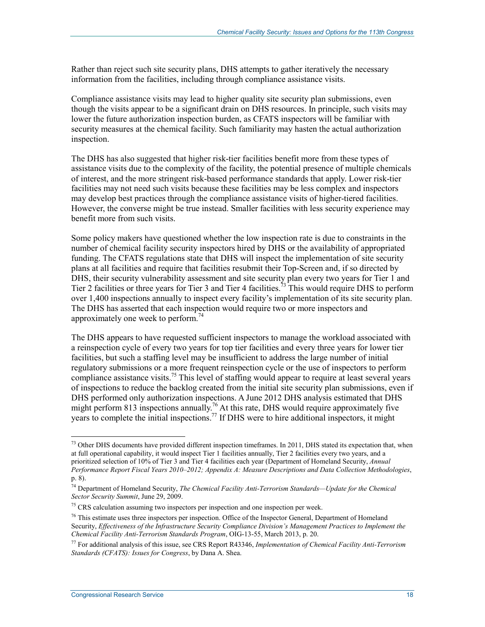Rather than reject such site security plans, DHS attempts to gather iteratively the necessary information from the facilities, including through compliance assistance visits.

Compliance assistance visits may lead to higher quality site security plan submissions, even though the visits appear to be a significant drain on DHS resources. In principle, such visits may lower the future authorization inspection burden, as CFATS inspectors will be familiar with security measures at the chemical facility. Such familiarity may hasten the actual authorization inspection.

The DHS has also suggested that higher risk-tier facilities benefit more from these types of assistance visits due to the complexity of the facility, the potential presence of multiple chemicals of interest, and the more stringent risk-based performance standards that apply. Lower risk-tier facilities may not need such visits because these facilities may be less complex and inspectors may develop best practices through the compliance assistance visits of higher-tiered facilities. However, the converse might be true instead. Smaller facilities with less security experience may benefit more from such visits.

Some policy makers have questioned whether the low inspection rate is due to constraints in the number of chemical facility security inspectors hired by DHS or the availability of appropriated funding. The CFATS regulations state that DHS will inspect the implementation of site security plans at all facilities and require that facilities resubmit their Top-Screen and, if so directed by DHS, their security vulnerability assessment and site security plan every two years for Tier 1 and Tier 2 facilities or three years for Tier 3 and Tier 4 facilities.<sup>73</sup> This would require DHS to perform over 1,400 inspections annually to inspect every facility's implementation of its site security plan. The DHS has asserted that each inspection would require two or more inspectors and approximately one week to perform.<sup>74</sup>

The DHS appears to have requested sufficient inspectors to manage the workload associated with a reinspection cycle of every two years for top tier facilities and every three years for lower tier facilities, but such a staffing level may be insufficient to address the large number of initial regulatory submissions or a more frequent reinspection cycle or the use of inspectors to perform compliance assistance visits.<sup>75</sup> This level of staffing would appear to require at least several years of inspections to reduce the backlog created from the initial site security plan submissions, even if DHS performed only authorization inspections. A June 2012 DHS analysis estimated that DHS might perform 813 inspections annually.<sup>76</sup> At this rate, DHS would require approximately five years to complete the initial inspections.<sup>77</sup> If DHS were to hire additional inspectors, it might

<u>.</u>

 $73$  Other DHS documents have provided different inspection timeframes. In 2011, DHS stated its expectation that, when at full operational capability, it would inspect Tier 1 facilities annually, Tier 2 facilities every two years, and a prioritized selection of 10% of Tier 3 and Tier 4 facilities each year (Department of Homeland Security, *Annual Performance Report Fiscal Years 2010–2012; Appendix A: Measure Descriptions and Data Collection Methodologies*,

p. 8).

<sup>74</sup> Department of Homeland Security, *The Chemical Facility Anti-Terrorism Standards—Update for the Chemical Sector Security Summit*, June 29, 2009.

<sup>&</sup>lt;sup>75</sup> CRS calculation assuming two inspectors per inspection and one inspection per week.

 $76$  This estimate uses three inspectors per inspection. Office of the Inspector General, Department of Homeland Security, *Effectiveness of the Infrastructure Security Compliance Division's Management Practices to Implement the Chemical Facility Anti-Terrorism Standards Program*, OIG-13-55, March 2013, p. 20.

<sup>77</sup> For additional analysis of this issue, see CRS Report R43346, *Implementation of Chemical Facility Anti-Terrorism Standards (CFATS): Issues for Congress*, by Dana A. Shea.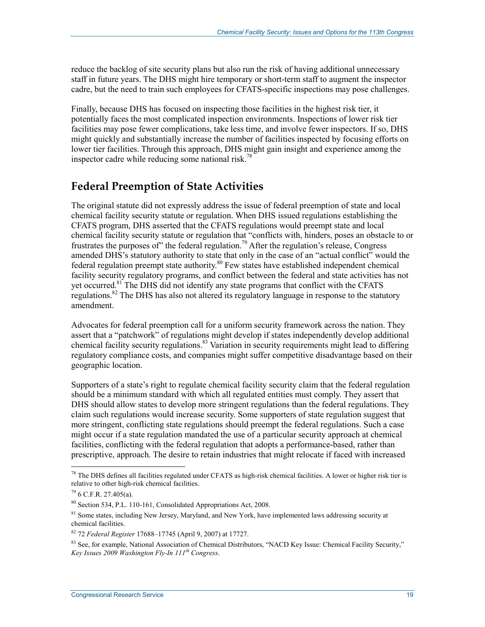reduce the backlog of site security plans but also run the risk of having additional unnecessary staff in future years. The DHS might hire temporary or short-term staff to augment the inspector cadre, but the need to train such employees for CFATS-specific inspections may pose challenges.

Finally, because DHS has focused on inspecting those facilities in the highest risk tier, it potentially faces the most complicated inspection environments. Inspections of lower risk tier facilities may pose fewer complications, take less time, and involve fewer inspectors. If so, DHS might quickly and substantially increase the number of facilities inspected by focusing efforts on lower tier facilities. Through this approach, DHS might gain insight and experience among the inspector cadre while reducing some national risk.<sup>78</sup>

### **Federal Preemption of State Activities**

The original statute did not expressly address the issue of federal preemption of state and local chemical facility security statute or regulation. When DHS issued regulations establishing the CFATS program, DHS asserted that the CFATS regulations would preempt state and local chemical facility security statute or regulation that "conflicts with, hinders, poses an obstacle to or frustrates the purposes of" the federal regulation.<sup>79</sup> After the regulation's release, Congress amended DHS's statutory authority to state that only in the case of an "actual conflict" would the federal regulation preempt state authority.<sup>80</sup> Few states have established independent chemical facility security regulatory programs, and conflict between the federal and state activities has not yet occurred.<sup>81</sup> The DHS did not identify any state programs that conflict with the CFATS regulations.<sup>82</sup> The DHS has also not altered its regulatory language in response to the statutory amendment.

Advocates for federal preemption call for a uniform security framework across the nation. They assert that a "patchwork" of regulations might develop if states independently develop additional chemical facility security regulations.<sup>83</sup> Variation in security requirements might lead to differing regulatory compliance costs, and companies might suffer competitive disadvantage based on their geographic location.

Supporters of a state's right to regulate chemical facility security claim that the federal regulation should be a minimum standard with which all regulated entities must comply. They assert that DHS should allow states to develop more stringent regulations than the federal regulations. They claim such regulations would increase security. Some supporters of state regulation suggest that more stringent, conflicting state regulations should preempt the federal regulations. Such a case might occur if a state regulation mandated the use of a particular security approach at chemical facilities, conflicting with the federal regulation that adopts a performance-based, rather than prescriptive, approach. The desire to retain industries that might relocate if faced with increased

 $78$  The DHS defines all facilities regulated under CFATS as high-risk chemical facilities. A lower or higher risk tier is relative to other high-risk chemical facilities.

 $796$  C.F.R. 27.405(a).

<sup>80</sup> Section 534, P.L. 110-161, Consolidated Appropriations Act, 2008.

<sup>&</sup>lt;sup>81</sup> Some states, including New Jersey, Maryland, and New York, have implemented laws addressing security at chemical facilities.

<sup>82 72</sup> *Federal Register* 17688–17745 (April 9, 2007) at 17727.

<sup>&</sup>lt;sup>83</sup> See, for example, National Association of Chemical Distributors, "NACD Key Issue: Chemical Facility Security," *Key Issues 2009 Washington Fly-In 111th Congress*.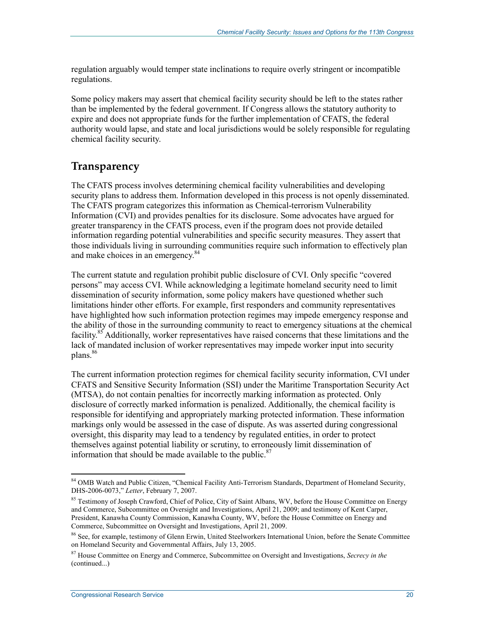regulation arguably would temper state inclinations to require overly stringent or incompatible regulations.

Some policy makers may assert that chemical facility security should be left to the states rather than be implemented by the federal government. If Congress allows the statutory authority to expire and does not appropriate funds for the further implementation of CFATS, the federal authority would lapse, and state and local jurisdictions would be solely responsible for regulating chemical facility security.

### **Transparency**

The CFATS process involves determining chemical facility vulnerabilities and developing security plans to address them. Information developed in this process is not openly disseminated. The CFATS program categorizes this information as Chemical-terrorism Vulnerability Information (CVI) and provides penalties for its disclosure. Some advocates have argued for greater transparency in the CFATS process, even if the program does not provide detailed information regarding potential vulnerabilities and specific security measures. They assert that those individuals living in surrounding communities require such information to effectively plan and make choices in an emergency.<sup>84</sup>

The current statute and regulation prohibit public disclosure of CVI. Only specific "covered persons" may access CVI. While acknowledging a legitimate homeland security need to limit dissemination of security information, some policy makers have questioned whether such limitations hinder other efforts. For example, first responders and community representatives have highlighted how such information protection regimes may impede emergency response and the ability of those in the surrounding community to react to emergency situations at the chemical facility.<sup>85</sup> Additionally, worker representatives have raised concerns that these limitations and the lack of mandated inclusion of worker representatives may impede worker input into security plans.<sup>86</sup>

The current information protection regimes for chemical facility security information, CVI under CFATS and Sensitive Security Information (SSI) under the Maritime Transportation Security Act (MTSA), do not contain penalties for incorrectly marking information as protected. Only disclosure of correctly marked information is penalized. Additionally, the chemical facility is responsible for identifying and appropriately marking protected information. These information markings only would be assessed in the case of dispute. As was asserted during congressional oversight, this disparity may lead to a tendency by regulated entities, in order to protect themselves against potential liability or scrutiny, to erroneously limit dissemination of information that should be made available to the public. $87$ 

<sup>84</sup> OMB Watch and Public Citizen, "Chemical Facility Anti-Terrorism Standards, Department of Homeland Security, DHS-2006-0073," *Letter*, February 7, 2007.

<sup>&</sup>lt;sup>85</sup> Testimony of Joseph Crawford, Chief of Police, City of Saint Albans, WV, before the House Committee on Energy and Commerce, Subcommittee on Oversight and Investigations, April 21, 2009; and testimony of Kent Carper, President, Kanawha County Commission, Kanawha County, WV, before the House Committee on Energy and Commerce, Subcommittee on Oversight and Investigations, April 21, 2009.

<sup>86</sup> See, for example, testimony of Glenn Erwin, United Steelworkers International Union, before the Senate Committee on Homeland Security and Governmental Affairs, July 13, 2005.

<sup>87</sup> House Committee on Energy and Commerce, Subcommittee on Oversight and Investigations, *Secrecy in the*  (continued...)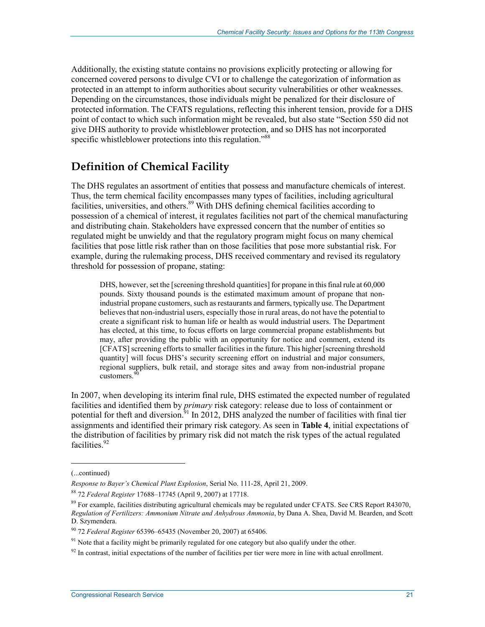Additionally, the existing statute contains no provisions explicitly protecting or allowing for concerned covered persons to divulge CVI or to challenge the categorization of information as protected in an attempt to inform authorities about security vulnerabilities or other weaknesses. Depending on the circumstances, those individuals might be penalized for their disclosure of protected information. The CFATS regulations, reflecting this inherent tension, provide for a DHS point of contact to which such information might be revealed, but also state "Section 550 did not give DHS authority to provide whistleblower protection, and so DHS has not incorporated specific whistleblower protections into this regulation."<sup>88</sup>

## **Definition of Chemical Facility**

The DHS regulates an assortment of entities that possess and manufacture chemicals of interest. Thus, the term chemical facility encompasses many types of facilities, including agricultural facilities, universities, and others.<sup>89</sup> With DHS defining chemical facilities according to possession of a chemical of interest, it regulates facilities not part of the chemical manufacturing and distributing chain. Stakeholders have expressed concern that the number of entities so regulated might be unwieldy and that the regulatory program might focus on many chemical facilities that pose little risk rather than on those facilities that pose more substantial risk. For example, during the rulemaking process, DHS received commentary and revised its regulatory threshold for possession of propane, stating:

DHS, however, set the [screening threshold quantities] for propane in this final rule at 60,000 pounds. Sixty thousand pounds is the estimated maximum amount of propane that nonindustrial propane customers, such as restaurants and farmers, typically use. The Department believes that non-industrial users, especially those in rural areas, do not have the potential to create a significant risk to human life or health as would industrial users. The Department has elected, at this time, to focus efforts on large commercial propane establishments but may, after providing the public with an opportunity for notice and comment, extend its [CFATS] screening efforts to smaller facilities in the future. This higher [screening threshold quantity] will focus DHS's security screening effort on industrial and major consumers, regional suppliers, bulk retail, and storage sites and away from non-industrial propane customers.<sup>90</sup>

In 2007, when developing its interim final rule, DHS estimated the expected number of regulated facilities and identified them by *primary* risk category: release due to loss of containment or potential for theft and diversion.<sup>91</sup> In 2012, DHS analyzed the number of facilities with final tier assignments and identified their primary risk category. As seen in **Table 4**, initial expectations of the distribution of facilities by primary risk did not match the risk types of the actual regulated facilities.<sup>92</sup>

 $\overline{a}$ 

<sup>(...</sup>continued)

*Response to Bayer's Chemical Plant Explosion*, Serial No. 111-28, April 21, 2009.

<sup>88 72</sup> *Federal Register* 17688–17745 (April 9, 2007) at 17718.

 $89$  For example, facilities distributing agricultural chemicals may be regulated under CFATS. See CRS Report R43070, *Regulation of Fertilizers: Ammonium Nitrate and Anhydrous Ammonia*, by Dana A. Shea, David M. Bearden, and Scott D. Szymendera.

<sup>90 72</sup> *Federal Register* 65396–65435 (November 20, 2007) at 65406.

<sup>&</sup>lt;sup>91</sup> Note that a facility might be primarily regulated for one category but also qualify under the other.

 $92$  In contrast, initial expectations of the number of facilities per tier were more in line with actual enrollment.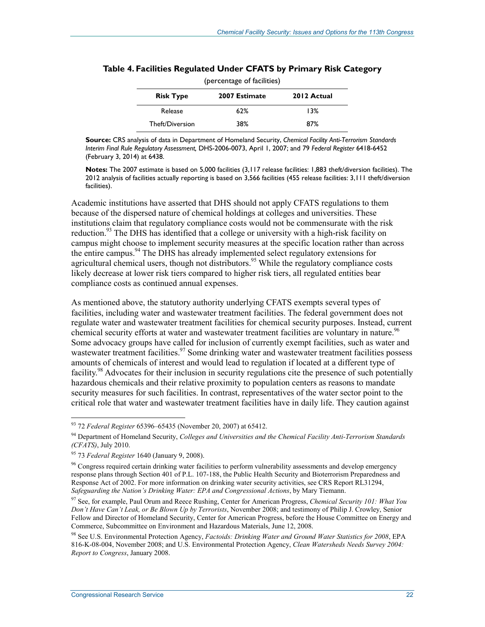| (percentage of facilities) |               |             |  |
|----------------------------|---------------|-------------|--|
| <b>Risk Type</b>           | 2007 Estimate | 2012 Actual |  |
| Release                    | 62%           | 13%         |  |
| Theft/Diversion            | 38%           | 87%         |  |

#### **Table 4. Facilities Regulated Under CFATS by Primary Risk Category**

**Source:** CRS analysis of data in Department of Homeland Security, *Chemical Facility Anti-Terrorism Standards Interim Final Rule Regulatory Assessment,* DHS-2006-0073, April 1, 2007; and 79 *Federal Register* 6418-6452 (February 3, 2014) at 6438.

**Notes:** The 2007 estimate is based on 5,000 facilities (3,117 release facilities: 1,883 theft/diversion facilities). The 2012 analysis of facilities actually reporting is based on 3,566 facilities (455 release facilities: 3,111 theft/diversion facilities).

Academic institutions have asserted that DHS should not apply CFATS regulations to them because of the dispersed nature of chemical holdings at colleges and universities. These institutions claim that regulatory compliance costs would not be commensurate with the risk reduction.<sup>93</sup> The DHS has identified that a college or university with a high-risk facility on campus might choose to implement security measures at the specific location rather than across the entire campus.<sup>94</sup> The DHS has already implemented select regulatory extensions for agricultural chemical users, though not distributors.<sup>95</sup> While the regulatory compliance costs likely decrease at lower risk tiers compared to higher risk tiers, all regulated entities bear compliance costs as continued annual expenses.

As mentioned above, the statutory authority underlying CFATS exempts several types of facilities, including water and wastewater treatment facilities. The federal government does not regulate water and wastewater treatment facilities for chemical security purposes. Instead, current chemical security efforts at water and wastewater treatment facilities are voluntary in nature.<sup>96</sup> Some advocacy groups have called for inclusion of currently exempt facilities, such as water and wastewater treatment facilities.<sup>97</sup> Some drinking water and wastewater treatment facilities possess amounts of chemicals of interest and would lead to regulation if located at a different type of facility.<sup>98</sup> Advocates for their inclusion in security regulations cite the presence of such potentially hazardous chemicals and their relative proximity to population centers as reasons to mandate security measures for such facilities. In contrast, representatives of the water sector point to the critical role that water and wastewater treatment facilities have in daily life. They caution against

<sup>93 72</sup> *Federal Register* 65396–65435 (November 20, 2007) at 65412.

<sup>94</sup> Department of Homeland Security, *Colleges and Universities and the Chemical Facility Anti-Terrorism Standards (CFATS)*, July 2010.

<sup>95 73</sup> *Federal Register* 1640 (January 9, 2008).

<sup>96</sup> Congress required certain drinking water facilities to perform vulnerability assessments and develop emergency response plans through Section 401 of P.L. 107-188, the Public Health Security and Bioterrorism Preparedness and Response Act of 2002. For more information on drinking water security activities, see CRS Report RL31294, *Safeguarding the Nation's Drinking Water: EPA and Congressional Actions*, by Mary Tiemann.

<sup>97</sup> See, for example, Paul Orum and Reece Rushing, Center for American Progress, *Chemical Security 101: What You Don't Have Can't Leak, or Be Blown Up by Terrorists*, November 2008; and testimony of Philip J. Crowley, Senior Fellow and Director of Homeland Security, Center for American Progress, before the House Committee on Energy and Commerce, Subcommittee on Environment and Hazardous Materials, June 12, 2008.

<sup>98</sup> See U.S. Environmental Protection Agency, *Factoids: Drinking Water and Ground Water Statistics for 2008*, EPA 816-K-08-004, November 2008; and U.S. Environmental Protection Agency, *Clean Watersheds Needs Survey 2004: Report to Congress*, January 2008.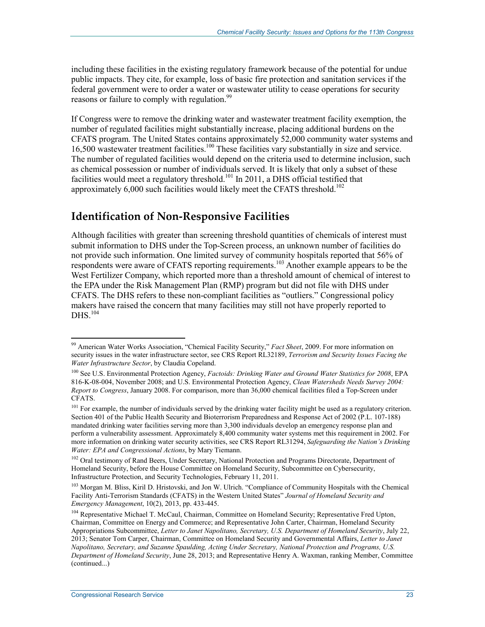including these facilities in the existing regulatory framework because of the potential for undue public impacts. They cite, for example, loss of basic fire protection and sanitation services if the federal government were to order a water or wastewater utility to cease operations for security reasons or failure to comply with regulation.<sup>99</sup>

If Congress were to remove the drinking water and wastewater treatment facility exemption, the number of regulated facilities might substantially increase, placing additional burdens on the CFATS program. The United States contains approximately 52,000 community water systems and 16,500 wastewater treatment facilities.100 These facilities vary substantially in size and service. The number of regulated facilities would depend on the criteria used to determine inclusion, such as chemical possession or number of individuals served. It is likely that only a subset of these facilities would meet a regulatory threshold.<sup>101</sup> In 2011, a DHS official testified that approximately  $6,000$  such facilities would likely meet the CFATS threshold.<sup>102</sup>

#### **Identification of Non-Responsive Facilities**

Although facilities with greater than screening threshold quantities of chemicals of interest must submit information to DHS under the Top-Screen process, an unknown number of facilities do not provide such information. One limited survey of community hospitals reported that 56% of respondents were aware of CFATS reporting requirements.<sup>103</sup> Another example appears to be the West Fertilizer Company, which reported more than a threshold amount of chemical of interest to the EPA under the Risk Management Plan (RMP) program but did not file with DHS under CFATS. The DHS refers to these non-compliant facilities as "outliers." Congressional policy makers have raised the concern that many facilities may still not have properly reported to  $DHS$ <sup>104</sup>

<sup>99</sup> American Water Works Association, "Chemical Facility Security," *Fact Sheet*, 2009. For more information on security issues in the water infrastructure sector, see CRS Report RL32189, *Terrorism and Security Issues Facing the Water Infrastructure Sector*, by Claudia Copeland.

<sup>100</sup> See U.S. Environmental Protection Agency, *Factoids: Drinking Water and Ground Water Statistics for 2008*, EPA 816-K-08-004, November 2008; and U.S. Environmental Protection Agency, *Clean Watersheds Needs Survey 2004: Report to Congress*, January 2008. For comparison, more than 36,000 chemical facilities filed a Top-Screen under CFATS.

<sup>&</sup>lt;sup>101</sup> For example, the number of individuals served by the drinking water facility might be used as a regulatory criterion. Section 401 of the Public Health Security and Bioterrorism Preparedness and Response Act of 2002 (P.L. 107-188) mandated drinking water facilities serving more than 3,300 individuals develop an emergency response plan and perform a vulnerability assessment. Approximately 8,400 community water systems met this requirement in 2002. For more information on drinking water security activities, see CRS Report RL31294, *Safeguarding the Nation's Drinking Water: EPA and Congressional Actions*, by Mary Tiemann.

<sup>&</sup>lt;sup>102</sup> Oral testimony of Rand Beers, Under Secretary, National Protection and Programs Directorate, Department of Homeland Security, before the House Committee on Homeland Security, Subcommittee on Cybersecurity, Infrastructure Protection, and Security Technologies, February 11, 2011.

<sup>&</sup>lt;sup>103</sup> Morgan M. Bliss, Kiril D. Hristovski, and Jon W. Ulrich. "Compliance of Community Hospitals with the Chemical Facility Anti-Terrorism Standards (CFATS) in the Western United States" *Journal of Homeland Security and Emergency Management*, 10(2), 2013, pp. 433-445.

<sup>&</sup>lt;sup>104</sup> Representative Michael T. McCaul, Chairman, Committee on Homeland Security; Representative Fred Upton, Chairman, Committee on Energy and Commerce; and Representative John Carter, Chairman, Homeland Security Appropriations Subcommittee, *Letter to Janet Napolitano, Secretary, U.S. Department of Homeland Security*, July 22, 2013; Senator Tom Carper, Chairman, Committee on Homeland Security and Governmental Affairs, *Letter to Janet Napolitano, Secretary, and Suzanne Spaulding, Acting Under Secretary, National Protection and Programs, U.S. Department of Homeland Security*, June 28, 2013; and Representative Henry A. Waxman, ranking Member, Committee (continued...)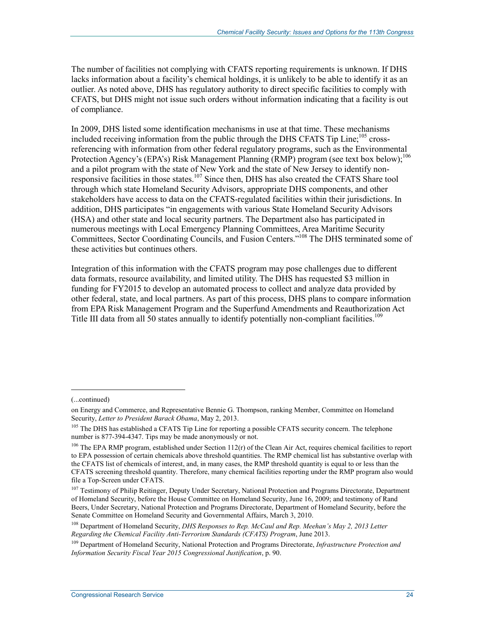The number of facilities not complying with CFATS reporting requirements is unknown. If DHS lacks information about a facility's chemical holdings, it is unlikely to be able to identify it as an outlier. As noted above, DHS has regulatory authority to direct specific facilities to comply with CFATS, but DHS might not issue such orders without information indicating that a facility is out of compliance.

In 2009, DHS listed some identification mechanisms in use at that time. These mechanisms included receiving information from the public through the DHS CFATS Tip Line;<sup>105</sup> crossreferencing with information from other federal regulatory programs, such as the Environmental Protection Agency's (EPA's) Risk Management Planning (RMP) program (see text box below);<sup>106</sup> and a pilot program with the state of New York and the state of New Jersey to identify nonresponsive facilities in those states.<sup>107</sup> Since then, DHS has also created the CFATS Share tool through which state Homeland Security Advisors, appropriate DHS components, and other stakeholders have access to data on the CFATS-regulated facilities within their jurisdictions. In addition, DHS participates "in engagements with various State Homeland Security Advisors (HSA) and other state and local security partners. The Department also has participated in numerous meetings with Local Emergency Planning Committees, Area Maritime Security Committees, Sector Coordinating Councils, and Fusion Centers."108 The DHS terminated some of these activities but continues others.

Integration of this information with the CFATS program may pose challenges due to different data formats, resource availability, and limited utility. The DHS has requested \$3 million in funding for FY2015 to develop an automated process to collect and analyze data provided by other federal, state, and local partners. As part of this process, DHS plans to compare information from EPA Risk Management Program and the Superfund Amendments and Reauthorization Act Title III data from all 50 states annually to identify potentially non-compliant facilities.<sup>109</sup>

<sup>(...</sup>continued)

on Energy and Commerce, and Representative Bennie G. Thompson, ranking Member, Committee on Homeland Security, *Letter to President Barack Obama*, May 2, 2013.

<sup>&</sup>lt;sup>105</sup> The DHS has established a CFATS Tip Line for reporting a possible CFATS security concern. The telephone number is 877-394-4347. Tips may be made anonymously or not.

<sup>&</sup>lt;sup>106</sup> The EPA RMP program, established under Section 112(r) of the Clean Air Act, requires chemical facilities to report to EPA possession of certain chemicals above threshold quantities. The RMP chemical list has substantive overlap with the CFATS list of chemicals of interest, and, in many cases, the RMP threshold quantity is equal to or less than the CFATS screening threshold quantity. Therefore, many chemical facilities reporting under the RMP program also would file a Top-Screen under CFATS.

<sup>&</sup>lt;sup>107</sup> Testimony of Philip Reitinger, Deputy Under Secretary, National Protection and Programs Directorate, Department of Homeland Security, before the House Committee on Homeland Security, June 16, 2009; and testimony of Rand Beers, Under Secretary, National Protection and Programs Directorate, Department of Homeland Security, before the Senate Committee on Homeland Security and Governmental Affairs, March 3, 2010.

<sup>108</sup> Department of Homeland Security, *DHS Responses to Rep. McCaul and Rep. Meehan's May 2, 2013 Letter Regarding the Chemical Facility Anti-Terrorism Standards (CFATS) Program*, June 2013.

<sup>109</sup> Department of Homeland Security, National Protection and Programs Directorate, *Infrastructure Protection and Information Security Fiscal Year 2015 Congressional Justification*, p. 90.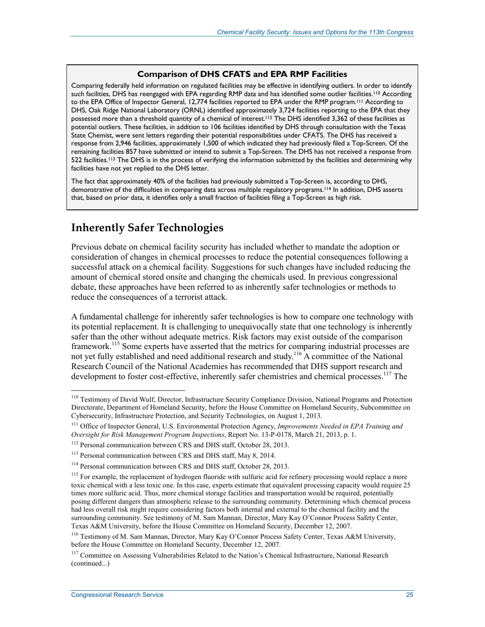#### **Comparison of DHS CFATS and EPA RMP Facilities**

Comparing federally held information on regulated facilities may be effective in identifying outliers. In order to identify such facilities, DHS has reengaged with EPA regarding RMP data and has identified some outlier facilities.<sup>110</sup> According to the EPA Office of Inspector General, 12,774 facilities reported to EPA under the RMP program.111 According to DHS, Oak Ridge National Laboratory (ORNL) identified approximately 3,724 facilities reporting to the EPA that they possessed more than a threshold quantity of a chemical of interest.<sup>112</sup> The DHS identified 3,362 of these facilities as potential outliers. These facilities, in addition to 106 facilities identified by DHS through consultation with the Texas State Chemist, were sent letters regarding their potential responsibilities under CFATS. The DHS has received a response from 2,946 facilities, approximately 1,500 of which indicated they had previously filed a Top-Screen. Of the remaining facilities 857 have submitted or intend to submit a Top-Screen. The DHS has not received a response from 522 facilities.<sup>113</sup> The DHS is in the process of verifying the information submitted by the facilities and determining why facilities have not yet replied to the DHS letter.

The fact that approximately 40% of the facilities had previously submitted a Top-Screen is, according to DHS, demonstrative of the difficulties in comparing data across multiple regulatory programs.114 In addition, DHS asserts that, based on prior data, it identifies only a small fraction of facilities filing a Top-Screen as high risk.

## **Inherently Safer Technologies**

Previous debate on chemical facility security has included whether to mandate the adoption or consideration of changes in chemical processes to reduce the potential consequences following a successful attack on a chemical facility. Suggestions for such changes have included reducing the amount of chemical stored onsite and changing the chemicals used. In previous congressional debate, these approaches have been referred to as inherently safer technologies or methods to reduce the consequences of a terrorist attack.

A fundamental challenge for inherently safer technologies is how to compare one technology with its potential replacement. It is challenging to unequivocally state that one technology is inherently safer than the other without adequate metrics. Risk factors may exist outside of the comparison framework.<sup>115</sup> Some experts have asserted that the metrics for comparing industrial processes are not yet fully established and need additional research and study.<sup>116</sup> A committee of the National Research Council of the National Academies has recommended that DHS support research and development to foster cost-effective, inherently safer chemistries and chemical processes.<sup>117</sup> The

<sup>&</sup>lt;sup>110</sup> Testimony of David Wulf, Director, Infrastructure Security Compliance Division, National Programs and Protection Directorate, Department of Homeland Security, before the House Committee on Homeland Security, Subcommittee on Cybersecurity, Infrastructure Protection, and Security Technologies, on August 1, 2013.

<sup>111</sup> Office of Inspector General, U.S. Environmental Protection Agency, *Improvements Needed in EPA Training and Oversight for Risk Management Program Inspections*, Report No. 13-P-0178, March 21, 2013, p. 1.

<sup>&</sup>lt;sup>112</sup> Personal communication between CRS and DHS staff, October 28, 2013.

<sup>&</sup>lt;sup>113</sup> Personal communication between CRS and DHS staff, May 8, 2014.

<sup>&</sup>lt;sup>114</sup> Personal communication between CRS and DHS staff, October 28, 2013.

<sup>&</sup>lt;sup>115</sup> For example, the replacement of hydrogen fluoride with sulfuric acid for refinery processing would replace a more toxic chemical with a less toxic one. In this case, experts estimate that equivalent processing capacity would require 25 times more sulfuric acid. Thus, more chemical storage facilities and transportation would be required, potentially posing different dangers than atmospheric release to the surrounding community. Determining which chemical process had less overall risk might require considering factors both internal and external to the chemical facility and the surrounding community. See testimony of M. Sam Mannan, Director, Mary Kay O'Connor Process Safety Center, Texas A&M University, before the House Committee on Homeland Security, December 12, 2007.

<sup>116</sup> Testimony of M. Sam Mannan, Director, Mary Kay O'Connor Process Safety Center, Texas A&M University, before the House Committee on Homeland Security, December 12, 2007.

<sup>&</sup>lt;sup>117</sup> Committee on Assessing Vulnerabilities Related to the Nation's Chemical Infrastructure, National Research (continued...)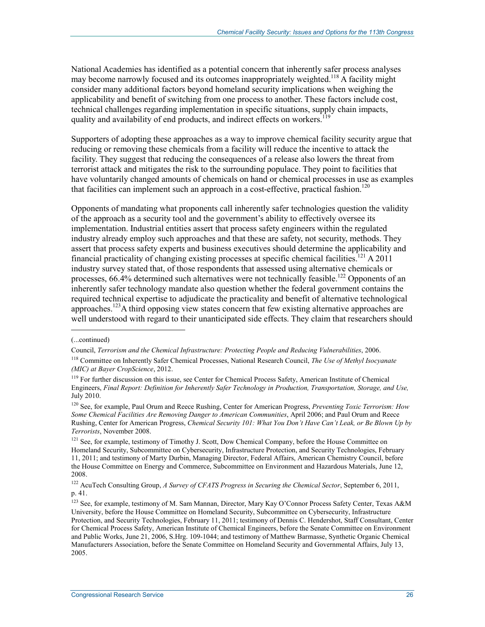National Academies has identified as a potential concern that inherently safer process analyses may become narrowly focused and its outcomes inappropriately weighted.<sup>118</sup> A facility might consider many additional factors beyond homeland security implications when weighing the applicability and benefit of switching from one process to another. These factors include cost, technical challenges regarding implementation in specific situations, supply chain impacts, quality and availability of end products, and indirect effects on workers.<sup>11</sup>

Supporters of adopting these approaches as a way to improve chemical facility security argue that reducing or removing these chemicals from a facility will reduce the incentive to attack the facility. They suggest that reducing the consequences of a release also lowers the threat from terrorist attack and mitigates the risk to the surrounding populace. They point to facilities that have voluntarily changed amounts of chemicals on hand or chemical processes in use as examples that facilities can implement such an approach in a cost-effective, practical fashion.<sup>120</sup>

Opponents of mandating what proponents call inherently safer technologies question the validity of the approach as a security tool and the government's ability to effectively oversee its implementation. Industrial entities assert that process safety engineers within the regulated industry already employ such approaches and that these are safety, not security, methods. They assert that process safety experts and business executives should determine the applicability and financial practicality of changing existing processes at specific chemical facilities.<sup>121</sup> A 2011 industry survey stated that, of those respondents that assessed using alternative chemicals or processes, 66.4% determined such alternatives were not technically feasible.<sup>122</sup> Opponents of an inherently safer technology mandate also question whether the federal government contains the required technical expertise to adjudicate the practicality and benefit of alternative technological approaches.<sup>123</sup>A third opposing view states concern that few existing alternative approaches are well understood with regard to their unanticipated side effects. They claim that researchers should

<sup>(...</sup>continued)

Council, *Terrorism and the Chemical Infrastructure: Protecting People and Reducing Vulnerabilities*, 2006.

<sup>118</sup> Committee on Inherently Safer Chemical Processes, National Research Council, *The Use of Methyl Isocyanate (MIC) at Bayer CropScience*, 2012.

<sup>&</sup>lt;sup>119</sup> For further discussion on this issue, see Center for Chemical Process Safety, American Institute of Chemical Engineers, *Final Report: Definition for Inherently Safer Technology in Production, Transportation, Storage, and Use,*  July 2010.

<sup>120</sup> See, for example, Paul Orum and Reece Rushing, Center for American Progress, *Preventing Toxic Terrorism: How Some Chemical Facilities Are Removing Danger to American Communities*, April 2006; and Paul Orum and Reece Rushing, Center for American Progress, *Chemical Security 101: What You Don't Have Can't Leak, or Be Blown Up by Terrorists*, November 2008.

<sup>&</sup>lt;sup>121</sup> See, for example, testimony of Timothy J. Scott, Dow Chemical Company, before the House Committee on Homeland Security, Subcommittee on Cybersecurity, Infrastructure Protection, and Security Technologies, February 11, 2011; and testimony of Marty Durbin, Managing Director, Federal Affairs, American Chemistry Council, before the House Committee on Energy and Commerce, Subcommittee on Environment and Hazardous Materials, June 12, 2008.

<sup>122</sup> AcuTech Consulting Group, *A Survey of CFATS Progress in Securing the Chemical Sector*, September 6, 2011, p. 41.

<sup>123</sup> See, for example, testimony of M. Sam Mannan, Director, Mary Kay O'Connor Process Safety Center, Texas A&M University, before the House Committee on Homeland Security, Subcommittee on Cybersecurity, Infrastructure Protection, and Security Technologies, February 11, 2011; testimony of Dennis C. Hendershot, Staff Consultant, Center for Chemical Process Safety, American Institute of Chemical Engineers, before the Senate Committee on Environment and Public Works, June 21, 2006, S.Hrg. 109-1044; and testimony of Matthew Barmasse, Synthetic Organic Chemical Manufacturers Association, before the Senate Committee on Homeland Security and Governmental Affairs, July 13, 2005.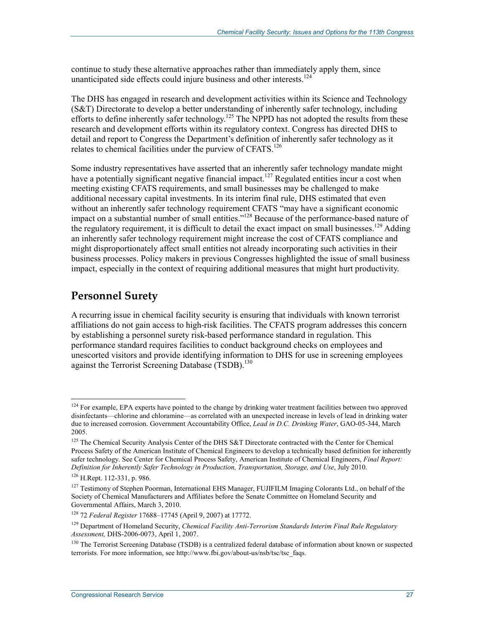continue to study these alternative approaches rather than immediately apply them, since unanticipated side effects could injure business and other interests.<sup>124</sup>

The DHS has engaged in research and development activities within its Science and Technology (S&T) Directorate to develop a better understanding of inherently safer technology, including efforts to define inherently safer technology.<sup>125</sup> The NPPD has not adopted the results from these research and development efforts within its regulatory context. Congress has directed DHS to detail and report to Congress the Department's definition of inherently safer technology as it relates to chemical facilities under the purview of CFATS.<sup>126</sup>

Some industry representatives have asserted that an inherently safer technology mandate might have a potentially significant negative financial impact.<sup>127</sup> Regulated entities incur a cost when meeting existing CFATS requirements, and small businesses may be challenged to make additional necessary capital investments. In its interim final rule, DHS estimated that even without an inherently safer technology requirement CFATS "may have a significant economic impact on a substantial number of small entities."128 Because of the performance-based nature of the regulatory requirement, it is difficult to detail the exact impact on small businesses.<sup>129</sup> Adding an inherently safer technology requirement might increase the cost of CFATS compliance and might disproportionately affect small entities not already incorporating such activities in their business processes. Policy makers in previous Congresses highlighted the issue of small business impact, especially in the context of requiring additional measures that might hurt productivity.

#### **Personnel Surety**

A recurring issue in chemical facility security is ensuring that individuals with known terrorist affiliations do not gain access to high-risk facilities. The CFATS program addresses this concern by establishing a personnel surety risk-based performance standard in regulation. This performance standard requires facilities to conduct background checks on employees and unescorted visitors and provide identifying information to DHS for use in screening employees against the Terrorist Screening Database (TSDB).<sup>130</sup>

 $124$  For example, EPA experts have pointed to the change by drinking water treatment facilities between two approved disinfectants—chlorine and chloramine—as correlated with an unexpected increase in levels of lead in drinking water due to increased corrosion. Government Accountability Office, *Lead in D.C. Drinking Water*, GAO-05-344, March 2005.

<sup>&</sup>lt;sup>125</sup> The Chemical Security Analysis Center of the DHS S&T Directorate contracted with the Center for Chemical Process Safety of the American Institute of Chemical Engineers to develop a technically based definition for inherently safer technology. See Center for Chemical Process Safety, American Institute of Chemical Engineers, *Final Report: Definition for Inherently Safer Technology in Production, Transportation, Storage, and Use*, July 2010.

<sup>126</sup> H.Rept. 112-331, p. 986.

<sup>&</sup>lt;sup>127</sup> Testimony of Stephen Poorman, International EHS Manager, FUJIFILM Imaging Colorants Ltd., on behalf of the Society of Chemical Manufacturers and Affiliates before the Senate Committee on Homeland Security and Governmental Affairs, March 3, 2010.

<sup>128 72</sup> *Federal Register* 17688–17745 (April 9, 2007) at 17772.

<sup>&</sup>lt;sup>129</sup> Department of Homeland Security, *Chemical Facility Anti-Terrorism Standards Interim Final Rule Regulatory Assessment,* DHS-2006-0073, April 1, 2007.

<sup>&</sup>lt;sup>130</sup> The Terrorist Screening Database (TSDB) is a centralized federal database of information about known or suspected terrorists. For more information, see http://www.fbi.gov/about-us/nsb/tsc/tsc\_faqs.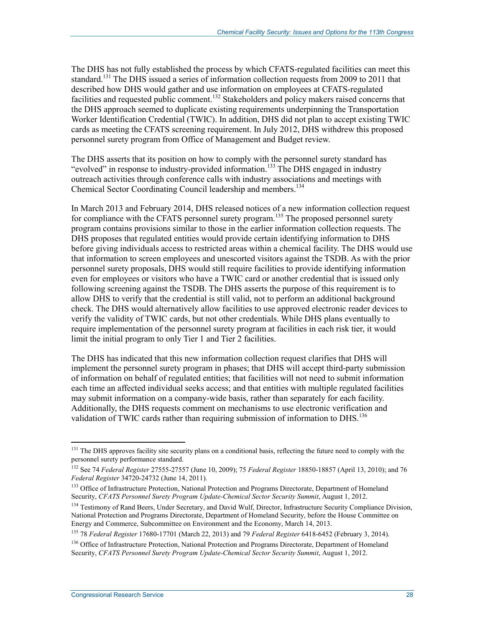The DHS has not fully established the process by which CFATS-regulated facilities can meet this standard.<sup>131</sup> The DHS issued a series of information collection requests from 2009 to 2011 that described how DHS would gather and use information on employees at CFATS-regulated facilities and requested public comment.<sup>132</sup> Stakeholders and policy makers raised concerns that the DHS approach seemed to duplicate existing requirements underpinning the Transportation Worker Identification Credential (TWIC). In addition, DHS did not plan to accept existing TWIC cards as meeting the CFATS screening requirement. In July 2012, DHS withdrew this proposed personnel surety program from Office of Management and Budget review.

The DHS asserts that its position on how to comply with the personnel surety standard has "evolved" in response to industry-provided information.<sup>133</sup> The DHS engaged in industry outreach activities through conference calls with industry associations and meetings with Chemical Sector Coordinating Council leadership and members.134

In March 2013 and February 2014, DHS released notices of a new information collection request for compliance with the CFATS personnel surety program.<sup>135</sup> The proposed personnel surety program contains provisions similar to those in the earlier information collection requests. The DHS proposes that regulated entities would provide certain identifying information to DHS before giving individuals access to restricted areas within a chemical facility. The DHS would use that information to screen employees and unescorted visitors against the TSDB. As with the prior personnel surety proposals, DHS would still require facilities to provide identifying information even for employees or visitors who have a TWIC card or another credential that is issued only following screening against the TSDB. The DHS asserts the purpose of this requirement is to allow DHS to verify that the credential is still valid, not to perform an additional background check. The DHS would alternatively allow facilities to use approved electronic reader devices to verify the validity of TWIC cards, but not other credentials. While DHS plans eventually to require implementation of the personnel surety program at facilities in each risk tier, it would limit the initial program to only Tier 1 and Tier 2 facilities.

The DHS has indicated that this new information collection request clarifies that DHS will implement the personnel surety program in phases; that DHS will accept third-party submission of information on behalf of regulated entities; that facilities will not need to submit information each time an affected individual seeks access; and that entities with multiple regulated facilities may submit information on a company-wide basis, rather than separately for each facility. Additionally, the DHS requests comment on mechanisms to use electronic verification and validation of TWIC cards rather than requiring submission of information to DHS.<sup>136</sup>

<sup>&</sup>lt;sup>131</sup> The DHS approves facility site security plans on a conditional basis, reflecting the future need to comply with the personnel surety performance standard.

<sup>132</sup> See 74 *Federal Register* 27555-27557 (June 10, 2009); 75 *Federal Register* 18850-18857 (April 13, 2010); and 76 *Federal Register* 34720-24732 (June 14, 2011).

<sup>&</sup>lt;sup>133</sup> Office of Infrastructure Protection, National Protection and Programs Directorate, Department of Homeland Security, *CFATS Personnel Surety Program Update-Chemical Sector Security Summit*, August 1, 2012.

<sup>&</sup>lt;sup>134</sup> Testimony of Rand Beers, Under Secretary, and David Wulf, Director, Infrastructure Security Compliance Division, National Protection and Programs Directorate, Department of Homeland Security, before the House Committee on Energy and Commerce, Subcommittee on Environment and the Economy, March 14, 2013.

<sup>135 78</sup> *Federal Register* 17680-17701 (March 22, 2013) and 79 *Federal Register* 6418-6452 (February 3, 2014).

<sup>&</sup>lt;sup>136</sup> Office of Infrastructure Protection, National Protection and Programs Directorate, Department of Homeland Security, *CFATS Personnel Surety Program Update-Chemical Sector Security Summit*, August 1, 2012.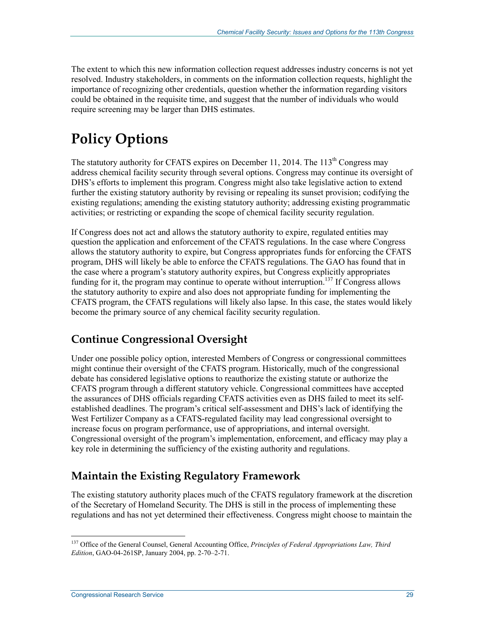The extent to which this new information collection request addresses industry concerns is not yet resolved. Industry stakeholders, in comments on the information collection requests, highlight the importance of recognizing other credentials, question whether the information regarding visitors could be obtained in the requisite time, and suggest that the number of individuals who would require screening may be larger than DHS estimates.

## **Policy Options**

The statutory authority for CFATS expires on December 11, 2014. The  $113<sup>th</sup>$  Congress may address chemical facility security through several options. Congress may continue its oversight of DHS's efforts to implement this program. Congress might also take legislative action to extend further the existing statutory authority by revising or repealing its sunset provision; codifying the existing regulations; amending the existing statutory authority; addressing existing programmatic activities; or restricting or expanding the scope of chemical facility security regulation.

If Congress does not act and allows the statutory authority to expire, regulated entities may question the application and enforcement of the CFATS regulations. In the case where Congress allows the statutory authority to expire, but Congress appropriates funds for enforcing the CFATS program, DHS will likely be able to enforce the CFATS regulations. The GAO has found that in the case where a program's statutory authority expires, but Congress explicitly appropriates funding for it, the program may continue to operate without interruption.<sup>137</sup> If Congress allows the statutory authority to expire and also does not appropriate funding for implementing the CFATS program, the CFATS regulations will likely also lapse. In this case, the states would likely become the primary source of any chemical facility security regulation.

## **Continue Congressional Oversight**

Under one possible policy option, interested Members of Congress or congressional committees might continue their oversight of the CFATS program. Historically, much of the congressional debate has considered legislative options to reauthorize the existing statute or authorize the CFATS program through a different statutory vehicle. Congressional committees have accepted the assurances of DHS officials regarding CFATS activities even as DHS failed to meet its selfestablished deadlines. The program's critical self-assessment and DHS's lack of identifying the West Fertilizer Company as a CFATS-regulated facility may lead congressional oversight to increase focus on program performance, use of appropriations, and internal oversight. Congressional oversight of the program's implementation, enforcement, and efficacy may play a key role in determining the sufficiency of the existing authority and regulations.

## **Maintain the Existing Regulatory Framework**

The existing statutory authority places much of the CFATS regulatory framework at the discretion of the Secretary of Homeland Security. The DHS is still in the process of implementing these regulations and has not yet determined their effectiveness. Congress might choose to maintain the

<sup>137</sup> Office of the General Counsel, General Accounting Office, *Principles of Federal Appropriations Law, Third Edition*, GAO-04-261SP, January 2004, pp. 2-70–2-71.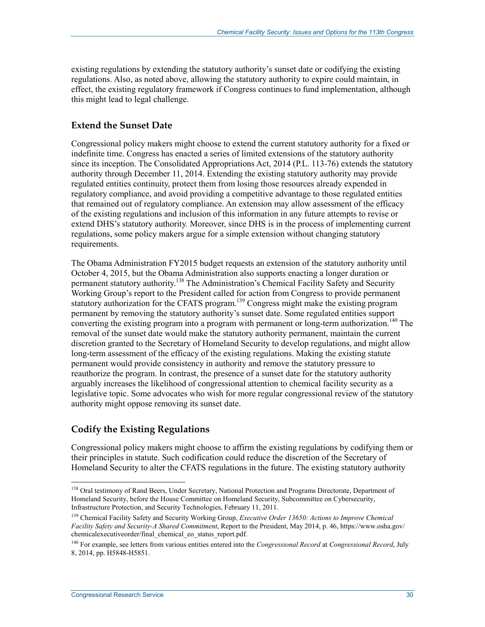existing regulations by extending the statutory authority's sunset date or codifying the existing regulations. Also, as noted above, allowing the statutory authority to expire could maintain, in effect, the existing regulatory framework if Congress continues to fund implementation, although this might lead to legal challenge.

#### **Extend the Sunset Date**

Congressional policy makers might choose to extend the current statutory authority for a fixed or indefinite time. Congress has enacted a series of limited extensions of the statutory authority since its inception. The Consolidated Appropriations Act, 2014 (P.L. 113-76) extends the statutory authority through December 11, 2014. Extending the existing statutory authority may provide regulated entities continuity, protect them from losing those resources already expended in regulatory compliance, and avoid providing a competitive advantage to those regulated entities that remained out of regulatory compliance. An extension may allow assessment of the efficacy of the existing regulations and inclusion of this information in any future attempts to revise or extend DHS's statutory authority. Moreover, since DHS is in the process of implementing current regulations, some policy makers argue for a simple extension without changing statutory requirements.

The Obama Administration FY2015 budget requests an extension of the statutory authority until October 4, 2015, but the Obama Administration also supports enacting a longer duration or permanent statutory authority.138 The Administration's Chemical Facility Safety and Security Working Group's report to the President called for action from Congress to provide permanent statutory authorization for the CFATS program.<sup>139</sup> Congress might make the existing program permanent by removing the statutory authority's sunset date. Some regulated entities support converting the existing program into a program with permanent or long-term authorization.<sup>140</sup> The removal of the sunset date would make the statutory authority permanent, maintain the current discretion granted to the Secretary of Homeland Security to develop regulations, and might allow long-term assessment of the efficacy of the existing regulations. Making the existing statute permanent would provide consistency in authority and remove the statutory pressure to reauthorize the program. In contrast, the presence of a sunset date for the statutory authority arguably increases the likelihood of congressional attention to chemical facility security as a legislative topic. Some advocates who wish for more regular congressional review of the statutory authority might oppose removing its sunset date.

#### **Codify the Existing Regulations**

Congressional policy makers might choose to affirm the existing regulations by codifying them or their principles in statute. Such codification could reduce the discretion of the Secretary of Homeland Security to alter the CFATS regulations in the future. The existing statutory authority

<sup>&</sup>lt;sup>138</sup> Oral testimony of Rand Beers, Under Secretary, National Protection and Programs Directorate, Department of Homeland Security, before the House Committee on Homeland Security, Subcommittee on Cybersecurity, Infrastructure Protection, and Security Technologies, February 11, 2011.

<sup>139</sup> Chemical Facility Safety and Security Working Group, *Executive Order 13650: Actions to Improve Chemical Facility Safety and Security-A Shared Commitment*, Report to the President, May 2014, p. 46, https://www.osha.gov/ chemicalexecutiveorder/final\_chemical\_eo\_status\_report.pdf.

<sup>140</sup> For example, see letters from various entities entered into the *Congressional Record* at *Congressional Record*, July 8, 2014, pp. H5848-H5851.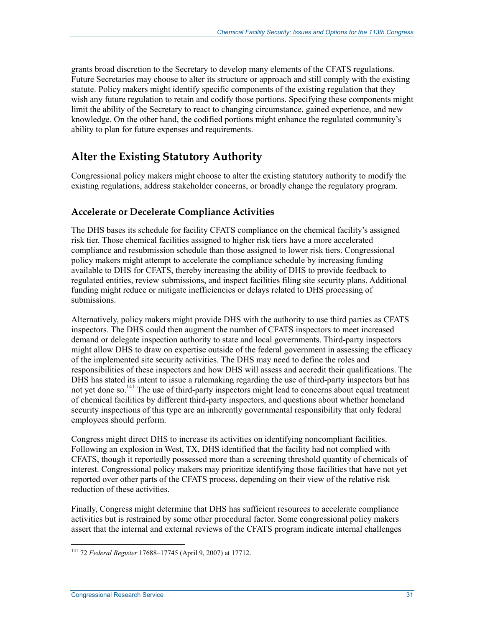grants broad discretion to the Secretary to develop many elements of the CFATS regulations. Future Secretaries may choose to alter its structure or approach and still comply with the existing statute. Policy makers might identify specific components of the existing regulation that they wish any future regulation to retain and codify those portions. Specifying these components might limit the ability of the Secretary to react to changing circumstance, gained experience, and new knowledge. On the other hand, the codified portions might enhance the regulated community's ability to plan for future expenses and requirements.

## **Alter the Existing Statutory Authority**

Congressional policy makers might choose to alter the existing statutory authority to modify the existing regulations, address stakeholder concerns, or broadly change the regulatory program.

#### **Accelerate or Decelerate Compliance Activities**

The DHS bases its schedule for facility CFATS compliance on the chemical facility's assigned risk tier. Those chemical facilities assigned to higher risk tiers have a more accelerated compliance and resubmission schedule than those assigned to lower risk tiers. Congressional policy makers might attempt to accelerate the compliance schedule by increasing funding available to DHS for CFATS, thereby increasing the ability of DHS to provide feedback to regulated entities, review submissions, and inspect facilities filing site security plans. Additional funding might reduce or mitigate inefficiencies or delays related to DHS processing of submissions.

Alternatively, policy makers might provide DHS with the authority to use third parties as CFATS inspectors. The DHS could then augment the number of CFATS inspectors to meet increased demand or delegate inspection authority to state and local governments. Third-party inspectors might allow DHS to draw on expertise outside of the federal government in assessing the efficacy of the implemented site security activities. The DHS may need to define the roles and responsibilities of these inspectors and how DHS will assess and accredit their qualifications. The DHS has stated its intent to issue a rulemaking regarding the use of third-party inspectors but has not yet done so.<sup>141</sup> The use of third-party inspectors might lead to concerns about equal treatment of chemical facilities by different third-party inspectors, and questions about whether homeland security inspections of this type are an inherently governmental responsibility that only federal employees should perform.

Congress might direct DHS to increase its activities on identifying noncompliant facilities. Following an explosion in West, TX, DHS identified that the facility had not complied with CFATS, though it reportedly possessed more than a screening threshold quantity of chemicals of interest. Congressional policy makers may prioritize identifying those facilities that have not yet reported over other parts of the CFATS process, depending on their view of the relative risk reduction of these activities.

Finally, Congress might determine that DHS has sufficient resources to accelerate compliance activities but is restrained by some other procedural factor. Some congressional policy makers assert that the internal and external reviews of the CFATS program indicate internal challenges

<sup>&</sup>lt;u>.</u> 141 72 *Federal Register* 17688–17745 (April 9, 2007) at 17712.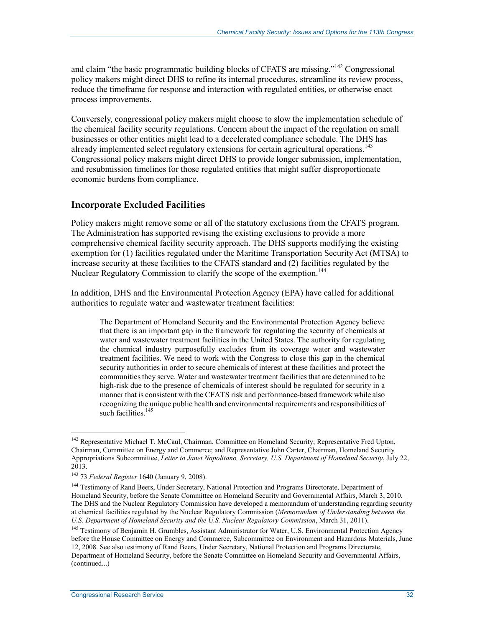and claim "the basic programmatic building blocks of CFATS are missing."<sup>142</sup> Congressional policy makers might direct DHS to refine its internal procedures, streamline its review process, reduce the timeframe for response and interaction with regulated entities, or otherwise enact process improvements.

Conversely, congressional policy makers might choose to slow the implementation schedule of the chemical facility security regulations. Concern about the impact of the regulation on small businesses or other entities might lead to a decelerated compliance schedule. The DHS has already implemented select regulatory extensions for certain agricultural operations.<sup>143</sup> Congressional policy makers might direct DHS to provide longer submission, implementation, and resubmission timelines for those regulated entities that might suffer disproportionate economic burdens from compliance.

#### **Incorporate Excluded Facilities**

Policy makers might remove some or all of the statutory exclusions from the CFATS program. The Administration has supported revising the existing exclusions to provide a more comprehensive chemical facility security approach. The DHS supports modifying the existing exemption for (1) facilities regulated under the Maritime Transportation Security Act (MTSA) to increase security at these facilities to the CFATS standard and (2) facilities regulated by the Nuclear Regulatory Commission to clarify the scope of the exemption.<sup>144</sup>

In addition, DHS and the Environmental Protection Agency (EPA) have called for additional authorities to regulate water and wastewater treatment facilities:

The Department of Homeland Security and the Environmental Protection Agency believe that there is an important gap in the framework for regulating the security of chemicals at water and wastewater treatment facilities in the United States. The authority for regulating the chemical industry purposefully excludes from its coverage water and wastewater treatment facilities. We need to work with the Congress to close this gap in the chemical security authorities in order to secure chemicals of interest at these facilities and protect the communities they serve. Water and wastewater treatment facilities that are determined to be high-risk due to the presence of chemicals of interest should be regulated for security in a manner that is consistent with the CFATS risk and performance-based framework while also recognizing the unique public health and environmental requirements and responsibilities of such facilities.<sup>145</sup>

<u>.</u>

<sup>&</sup>lt;sup>142</sup> Representative Michael T. McCaul, Chairman, Committee on Homeland Security; Representative Fred Upton, Chairman, Committee on Energy and Commerce; and Representative John Carter, Chairman, Homeland Security Appropriations Subcommittee, *Letter to Janet Napolitano, Secretary, U.S. Department of Homeland Security*, July 22, 2013.

<sup>143 73</sup> *Federal Register* 1640 (January 9, 2008).

<sup>&</sup>lt;sup>144</sup> Testimony of Rand Beers, Under Secretary, National Protection and Programs Directorate, Department of Homeland Security, before the Senate Committee on Homeland Security and Governmental Affairs, March 3, 2010. The DHS and the Nuclear Regulatory Commission have developed a memorandum of understanding regarding security at chemical facilities regulated by the Nuclear Regulatory Commission (*Memorandum of Understanding between the U.S. Department of Homeland Security and the U.S. Nuclear Regulatory Commission*, March 31, 2011).

<sup>&</sup>lt;sup>145</sup> Testimony of Benjamin H. Grumbles, Assistant Administrator for Water, U.S. Environmental Protection Agency before the House Committee on Energy and Commerce, Subcommittee on Environment and Hazardous Materials, June 12, 2008. See also testimony of Rand Beers, Under Secretary, National Protection and Programs Directorate, Department of Homeland Security, before the Senate Committee on Homeland Security and Governmental Affairs, (continued...)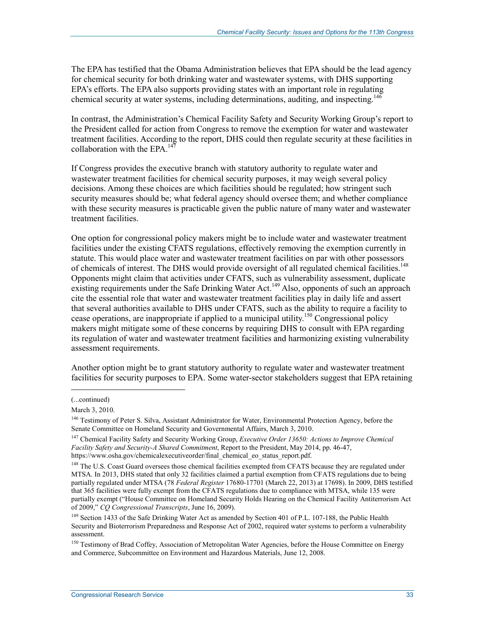The EPA has testified that the Obama Administration believes that EPA should be the lead agency for chemical security for both drinking water and wastewater systems, with DHS supporting EPA's efforts. The EPA also supports providing states with an important role in regulating chemical security at water systems, including determinations, auditing, and inspecting.<sup>146</sup>

In contrast, the Administration's Chemical Facility Safety and Security Working Group's report to the President called for action from Congress to remove the exemption for water and wastewater treatment facilities. According to the report, DHS could then regulate security at these facilities in collaboration with the EPA. $147$ 

If Congress provides the executive branch with statutory authority to regulate water and wastewater treatment facilities for chemical security purposes, it may weigh several policy decisions. Among these choices are which facilities should be regulated; how stringent such security measures should be; what federal agency should oversee them; and whether compliance with these security measures is practicable given the public nature of many water and wastewater treatment facilities.

One option for congressional policy makers might be to include water and wastewater treatment facilities under the existing CFATS regulations, effectively removing the exemption currently in statute. This would place water and wastewater treatment facilities on par with other possessors of chemicals of interest. The DHS would provide oversight of all regulated chemical facilities.<sup>148</sup> Opponents might claim that activities under CFATS, such as vulnerability assessment, duplicate existing requirements under the Safe Drinking Water Act.<sup>149</sup> Also, opponents of such an approach cite the essential role that water and wastewater treatment facilities play in daily life and assert that several authorities available to DHS under CFATS, such as the ability to require a facility to cease operations, are inappropriate if applied to a municipal utility.<sup>150</sup> Congressional policy makers might mitigate some of these concerns by requiring DHS to consult with EPA regarding its regulation of water and wastewater treatment facilities and harmonizing existing vulnerability assessment requirements.

Another option might be to grant statutory authority to regulate water and wastewater treatment facilities for security purposes to EPA. Some water-sector stakeholders suggest that EPA retaining

<sup>(...</sup>continued)

March 3, 2010.

<sup>&</sup>lt;sup>146</sup> Testimony of Peter S. Silva, Assistant Administrator for Water, Environmental Protection Agency, before the Senate Committee on Homeland Security and Governmental Affairs, March 3, 2010.

<sup>147</sup> Chemical Facility Safety and Security Working Group, *Executive Order 13650: Actions to Improve Chemical Facility Safety and Security-A Shared Commitment*, Report to the President, May 2014, pp. 46-47, https://www.osha.gov/chemicalexecutiveorder/final\_chemical\_eo\_status\_report.pdf.

<sup>&</sup>lt;sup>148</sup> The U.S. Coast Guard oversees those chemical facilities exempted from CFATS because they are regulated under MTSA. In 2013, DHS stated that only 32 facilities claimed a partial exemption from CFATS regulations due to being partially regulated under MTSA (78 *Federal Register* 17680-17701 (March 22, 2013) at 17698). In 2009, DHS testified that 365 facilities were fully exempt from the CFATS regulations due to compliance with MTSA, while 135 were partially exempt ("House Committee on Homeland Security Holds Hearing on the Chemical Facility Antiterrorism Act of 2009," *CQ Congressional Transcripts*, June 16, 2009).

<sup>149</sup> Section 1433 of the Safe Drinking Water Act as amended by Section 401 of P.L. 107-188, the Public Health Security and Bioterrorism Preparedness and Response Act of 2002, required water systems to perform a vulnerability assessment.

<sup>&</sup>lt;sup>150</sup> Testimony of Brad Coffey, Association of Metropolitan Water Agencies, before the House Committee on Energy and Commerce, Subcommittee on Environment and Hazardous Materials, June 12, 2008.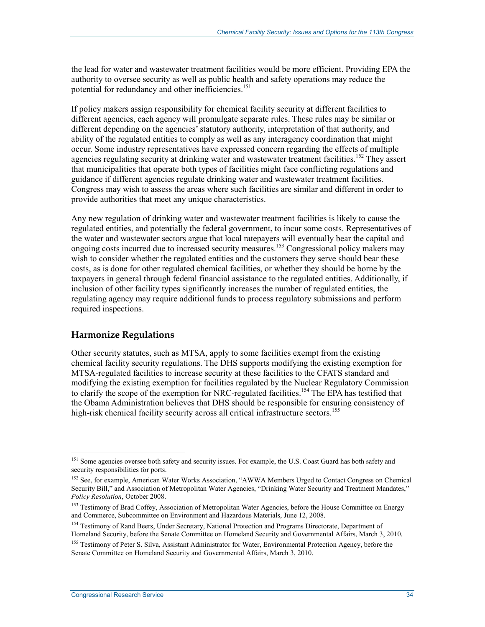the lead for water and wastewater treatment facilities would be more efficient. Providing EPA the authority to oversee security as well as public health and safety operations may reduce the potential for redundancy and other inefficiencies.<sup>151</sup>

If policy makers assign responsibility for chemical facility security at different facilities to different agencies, each agency will promulgate separate rules. These rules may be similar or different depending on the agencies' statutory authority, interpretation of that authority, and ability of the regulated entities to comply as well as any interagency coordination that might occur. Some industry representatives have expressed concern regarding the effects of multiple agencies regulating security at drinking water and wastewater treatment facilities.<sup>152</sup> They assert that municipalities that operate both types of facilities might face conflicting regulations and guidance if different agencies regulate drinking water and wastewater treatment facilities. Congress may wish to assess the areas where such facilities are similar and different in order to provide authorities that meet any unique characteristics.

Any new regulation of drinking water and wastewater treatment facilities is likely to cause the regulated entities, and potentially the federal government, to incur some costs. Representatives of the water and wastewater sectors argue that local ratepayers will eventually bear the capital and ongoing costs incurred due to increased security measures.<sup>153</sup> Congressional policy makers may wish to consider whether the regulated entities and the customers they serve should bear these costs, as is done for other regulated chemical facilities, or whether they should be borne by the taxpayers in general through federal financial assistance to the regulated entities. Additionally, if inclusion of other facility types significantly increases the number of regulated entities, the regulating agency may require additional funds to process regulatory submissions and perform required inspections.

#### **Harmonize Regulations**

Other security statutes, such as MTSA, apply to some facilities exempt from the existing chemical facility security regulations. The DHS supports modifying the existing exemption for MTSA-regulated facilities to increase security at these facilities to the CFATS standard and modifying the existing exemption for facilities regulated by the Nuclear Regulatory Commission to clarify the scope of the exemption for NRC-regulated facilities.<sup>154</sup> The EPA has testified that the Obama Administration believes that DHS should be responsible for ensuring consistency of high-risk chemical facility security across all critical infrastructure sectors.<sup>155</sup>

<u>.</u>

<sup>&</sup>lt;sup>151</sup> Some agencies oversee both safety and security issues. For example, the U.S. Coast Guard has both safety and security responsibilities for ports.

<sup>&</sup>lt;sup>152</sup> See, for example, American Water Works Association, "AWWA Members Urged to Contact Congress on Chemical Security Bill," and Association of Metropolitan Water Agencies, "Drinking Water Security and Treatment Mandates," *Policy Resolution*, October 2008.

<sup>&</sup>lt;sup>153</sup> Testimony of Brad Coffey, Association of Metropolitan Water Agencies, before the House Committee on Energy and Commerce, Subcommittee on Environment and Hazardous Materials, June 12, 2008.

<sup>&</sup>lt;sup>154</sup> Testimony of Rand Beers, Under Secretary, National Protection and Programs Directorate, Department of Homeland Security, before the Senate Committee on Homeland Security and Governmental Affairs, March 3, 2010.

<sup>&</sup>lt;sup>155</sup> Testimony of Peter S. Silva, Assistant Administrator for Water, Environmental Protection Agency, before the Senate Committee on Homeland Security and Governmental Affairs, March 3, 2010.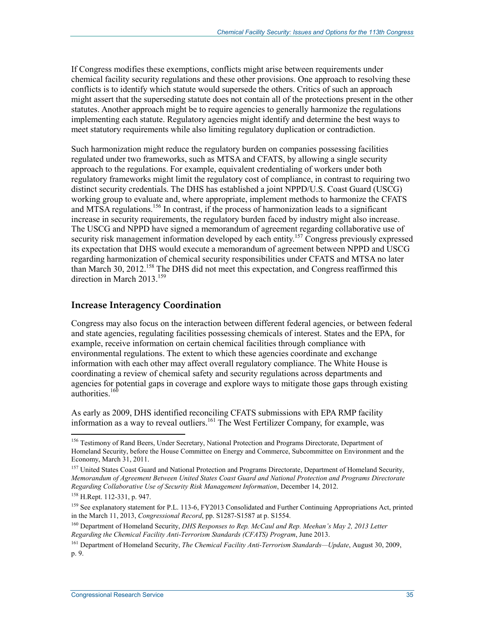If Congress modifies these exemptions, conflicts might arise between requirements under chemical facility security regulations and these other provisions. One approach to resolving these conflicts is to identify which statute would supersede the others. Critics of such an approach might assert that the superseding statute does not contain all of the protections present in the other statutes. Another approach might be to require agencies to generally harmonize the regulations implementing each statute. Regulatory agencies might identify and determine the best ways to meet statutory requirements while also limiting regulatory duplication or contradiction.

Such harmonization might reduce the regulatory burden on companies possessing facilities regulated under two frameworks, such as MTSA and CFATS, by allowing a single security approach to the regulations. For example, equivalent credentialing of workers under both regulatory frameworks might limit the regulatory cost of compliance, in contrast to requiring two distinct security credentials. The DHS has established a joint NPPD/U.S. Coast Guard (USCG) working group to evaluate and, where appropriate, implement methods to harmonize the CFATS and MTSA regulations.<sup>156</sup> In contrast, if the process of harmonization leads to a significant increase in security requirements, the regulatory burden faced by industry might also increase. The USCG and NPPD have signed a memorandum of agreement regarding collaborative use of security risk management information developed by each entity.<sup>157</sup> Congress previously expressed its expectation that DHS would execute a memorandum of agreement between NPPD and USCG regarding harmonization of chemical security responsibilities under CFATS and MTSA no later than March 30, 2012.<sup>158</sup> The DHS did not meet this expectation, and Congress reaffirmed this direction in March  $2013$ <sup>159</sup>

#### **Increase Interagency Coordination**

Congress may also focus on the interaction between different federal agencies, or between federal and state agencies, regulating facilities possessing chemicals of interest. States and the EPA, for example, receive information on certain chemical facilities through compliance with environmental regulations. The extent to which these agencies coordinate and exchange information with each other may affect overall regulatory compliance. The White House is coordinating a review of chemical safety and security regulations across departments and agencies for potential gaps in coverage and explore ways to mitigate those gaps through existing authorities. $160$ 

As early as 2009, DHS identified reconciling CFATS submissions with EPA RMP facility information as a way to reveal outliers.<sup>161</sup> The West Fertilizer Company, for example, was

<sup>&</sup>lt;sup>156</sup> Testimony of Rand Beers, Under Secretary, National Protection and Programs Directorate, Department of Homeland Security, before the House Committee on Energy and Commerce, Subcommittee on Environment and the Economy, March 31, 2011.

<sup>&</sup>lt;sup>157</sup> United States Coast Guard and National Protection and Programs Directorate, Department of Homeland Security, *Memorandum of Agreement Between United States Coast Guard and National Protection and Programs Directorate Regarding Collaborative Use of Security Risk Management Information*, December 14, 2012.

<sup>158</sup> H.Rept. 112-331, p. 947.

<sup>&</sup>lt;sup>159</sup> See explanatory statement for P.L. 113-6, FY2013 Consolidated and Further Continuing Appropriations Act, printed in the March 11, 2013, *Congressional Record*, pp. S1287-S1587 at p. S1554.

<sup>160</sup> Department of Homeland Security, *DHS Responses to Rep. McCaul and Rep. Meehan's May 2, 2013 Letter Regarding the Chemical Facility Anti-Terrorism Standards (CFATS) Program*, June 2013.

<sup>161</sup> Department of Homeland Security, *The Chemical Facility Anti-Terrorism Standards—Update*, August 30, 2009, p. 9.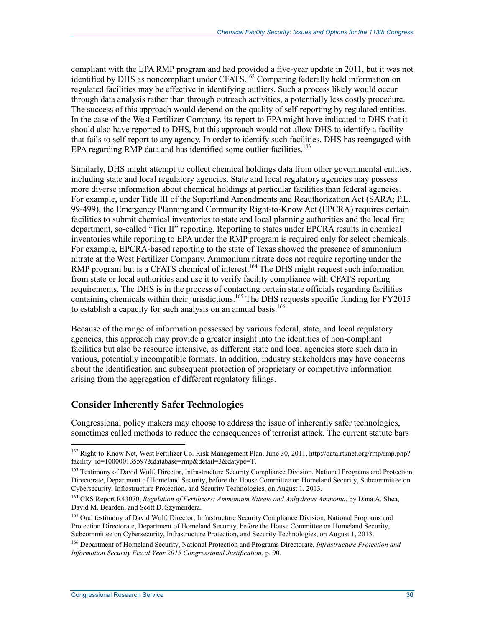compliant with the EPA RMP program and had provided a five-year update in 2011, but it was not identified by DHS as noncompliant under CFATS.<sup>162</sup> Comparing federally held information on regulated facilities may be effective in identifying outliers. Such a process likely would occur through data analysis rather than through outreach activities, a potentially less costly procedure. The success of this approach would depend on the quality of self-reporting by regulated entities. In the case of the West Fertilizer Company, its report to EPA might have indicated to DHS that it should also have reported to DHS, but this approach would not allow DHS to identify a facility that fails to self-report to any agency. In order to identify such facilities, DHS has reengaged with EPA regarding RMP data and has identified some outlier facilities.<sup>163</sup>

Similarly, DHS might attempt to collect chemical holdings data from other governmental entities, including state and local regulatory agencies. State and local regulatory agencies may possess more diverse information about chemical holdings at particular facilities than federal agencies. For example, under Title III of the Superfund Amendments and Reauthorization Act (SARA; P.L. 99-499), the Emergency Planning and Community Right-to-Know Act (EPCRA) requires certain facilities to submit chemical inventories to state and local planning authorities and the local fire department, so-called "Tier II" reporting. Reporting to states under EPCRA results in chemical inventories while reporting to EPA under the RMP program is required only for select chemicals. For example, EPCRA-based reporting to the state of Texas showed the presence of ammonium nitrate at the West Fertilizer Company. Ammonium nitrate does not require reporting under the RMP program but is a CFATS chemical of interest.<sup>164</sup> The DHS might request such information from state or local authorities and use it to verify facility compliance with CFATS reporting requirements. The DHS is in the process of contacting certain state officials regarding facilities containing chemicals within their jurisdictions.<sup>165</sup> The DHS requests specific funding for FY2015 to establish a capacity for such analysis on an annual basis.<sup>166</sup>

Because of the range of information possessed by various federal, state, and local regulatory agencies, this approach may provide a greater insight into the identities of non-compliant facilities but also be resource intensive, as different state and local agencies store such data in various, potentially incompatible formats. In addition, industry stakeholders may have concerns about the identification and subsequent protection of proprietary or competitive information arising from the aggregation of different regulatory filings.

#### **Consider Inherently Safer Technologies**

Congressional policy makers may choose to address the issue of inherently safer technologies, sometimes called methods to reduce the consequences of terrorist attack. The current statute bars

<sup>162</sup> Right-to-Know Net, West Fertilizer Co. Risk Management Plan, June 30, 2011, http://data.rtknet.org/rmp/rmp.php? facility\_id=100000135597&database=rmp&detail=3&datype=T.

<sup>&</sup>lt;sup>163</sup> Testimony of David Wulf, Director, Infrastructure Security Compliance Division, National Programs and Protection Directorate, Department of Homeland Security, before the House Committee on Homeland Security, Subcommittee on Cybersecurity, Infrastructure Protection, and Security Technologies, on August 1, 2013.

<sup>164</sup> CRS Report R43070, *Regulation of Fertilizers: Ammonium Nitrate and Anhydrous Ammonia*, by Dana A. Shea, David M. Bearden, and Scott D. Szymendera.

<sup>165</sup> Oral testimony of David Wulf, Director, Infrastructure Security Compliance Division, National Programs and Protection Directorate, Department of Homeland Security, before the House Committee on Homeland Security, Subcommittee on Cybersecurity, Infrastructure Protection, and Security Technologies, on August 1, 2013.

<sup>166</sup> Department of Homeland Security, National Protection and Programs Directorate, *Infrastructure Protection and Information Security Fiscal Year 2015 Congressional Justification*, p. 90.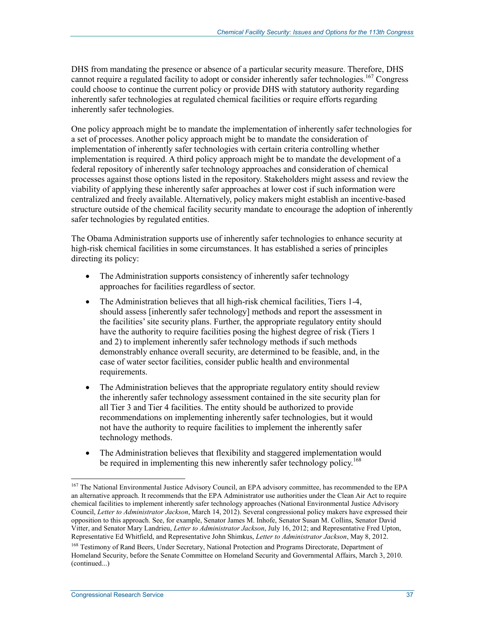DHS from mandating the presence or absence of a particular security measure. Therefore, DHS cannot require a regulated facility to adopt or consider inherently safer technologies.<sup>167</sup> Congress could choose to continue the current policy or provide DHS with statutory authority regarding inherently safer technologies at regulated chemical facilities or require efforts regarding inherently safer technologies.

One policy approach might be to mandate the implementation of inherently safer technologies for a set of processes. Another policy approach might be to mandate the consideration of implementation of inherently safer technologies with certain criteria controlling whether implementation is required. A third policy approach might be to mandate the development of a federal repository of inherently safer technology approaches and consideration of chemical processes against those options listed in the repository. Stakeholders might assess and review the viability of applying these inherently safer approaches at lower cost if such information were centralized and freely available. Alternatively, policy makers might establish an incentive-based structure outside of the chemical facility security mandate to encourage the adoption of inherently safer technologies by regulated entities.

The Obama Administration supports use of inherently safer technologies to enhance security at high-risk chemical facilities in some circumstances. It has established a series of principles directing its policy:

- The Administration supports consistency of inherently safer technology approaches for facilities regardless of sector.
- The Administration believes that all high-risk chemical facilities, Tiers 1-4, should assess [inherently safer technology] methods and report the assessment in the facilities' site security plans. Further, the appropriate regulatory entity should have the authority to require facilities posing the highest degree of risk (Tiers 1 and 2) to implement inherently safer technology methods if such methods demonstrably enhance overall security, are determined to be feasible, and, in the case of water sector facilities, consider public health and environmental requirements.
- The Administration believes that the appropriate regulatory entity should review the inherently safer technology assessment contained in the site security plan for all Tier 3 and Tier 4 facilities. The entity should be authorized to provide recommendations on implementing inherently safer technologies, but it would not have the authority to require facilities to implement the inherently safer technology methods.
- The Administration believes that flexibility and staggered implementation would be required in implementing this new inherently safer technology policy.<sup>168</sup>

<sup>&</sup>lt;sup>167</sup> The National Environmental Justice Advisory Council, an EPA advisory committee, has recommended to the EPA an alternative approach. It recommends that the EPA Administrator use authorities under the Clean Air Act to require chemical facilities to implement inherently safer technology approaches (National Environmental Justice Advisory Council, *Letter to Administrator Jackson*, March 14, 2012). Several congressional policy makers have expressed their opposition to this approach. See, for example, Senator James M. Inhofe, Senator Susan M. Collins, Senator David Vitter, and Senator Mary Landrieu, *Letter to Administrator Jackson*, July 16, 2012; and Representative Fred Upton, Representative Ed Whitfield, and Representative John Shimkus, *Letter to Administrator Jackson*, May 8, 2012.

<sup>&</sup>lt;sup>168</sup> Testimony of Rand Beers, Under Secretary, National Protection and Programs Directorate, Department of Homeland Security, before the Senate Committee on Homeland Security and Governmental Affairs, March 3, 2010. (continued...)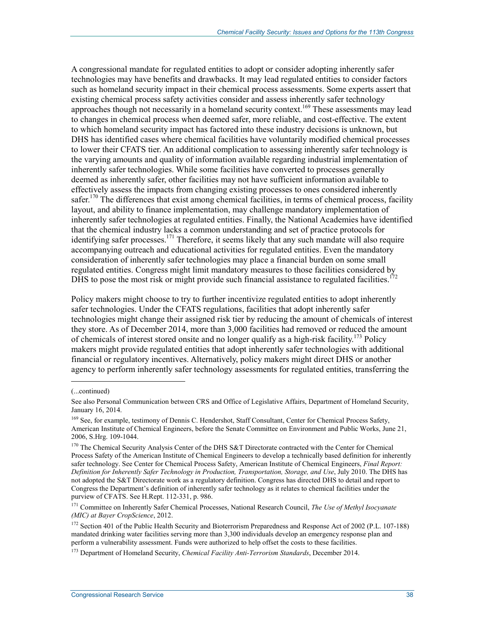A congressional mandate for regulated entities to adopt or consider adopting inherently safer technologies may have benefits and drawbacks. It may lead regulated entities to consider factors such as homeland security impact in their chemical process assessments. Some experts assert that existing chemical process safety activities consider and assess inherently safer technology approaches though not necessarily in a homeland security context.<sup>169</sup> These assessments may lead to changes in chemical process when deemed safer, more reliable, and cost-effective. The extent to which homeland security impact has factored into these industry decisions is unknown, but DHS has identified cases where chemical facilities have voluntarily modified chemical processes to lower their CFATS tier. An additional complication to assessing inherently safer technology is the varying amounts and quality of information available regarding industrial implementation of inherently safer technologies. While some facilities have converted to processes generally deemed as inherently safer, other facilities may not have sufficient information available to effectively assess the impacts from changing existing processes to ones considered inherently safer.<sup>170</sup> The differences that exist among chemical facilities, in terms of chemical process, facility layout, and ability to finance implementation, may challenge mandatory implementation of inherently safer technologies at regulated entities. Finally, the National Academies have identified that the chemical industry lacks a common understanding and set of practice protocols for identifying safer processes.<sup>171</sup> Therefore, it seems likely that any such mandate will also require accompanying outreach and educational activities for regulated entities. Even the mandatory consideration of inherently safer technologies may place a financial burden on some small regulated entities. Congress might limit mandatory measures to those facilities considered by DHS to pose the most risk or might provide such financial assistance to regulated facilities.<sup>172</sup>

Policy makers might choose to try to further incentivize regulated entities to adopt inherently safer technologies. Under the CFATS regulations, facilities that adopt inherently safer technologies might change their assigned risk tier by reducing the amount of chemicals of interest they store. As of December 2014, more than 3,000 facilities had removed or reduced the amount of chemicals of interest stored onsite and no longer qualify as a high-risk facility.<sup>173</sup> Policy makers might provide regulated entities that adopt inherently safer technologies with additional financial or regulatory incentives. Alternatively, policy makers might direct DHS or another agency to perform inherently safer technology assessments for regulated entities, transferring the

 $\overline{a}$ 

<sup>(...</sup>continued)

See also Personal Communication between CRS and Office of Legislative Affairs, Department of Homeland Security, January 16, 2014.

<sup>&</sup>lt;sup>169</sup> See, for example, testimony of Dennis C. Hendershot, Staff Consultant, Center for Chemical Process Safety, American Institute of Chemical Engineers, before the Senate Committee on Environment and Public Works, June 21, 2006, S.Hrg. 109-1044.

<sup>&</sup>lt;sup>170</sup> The Chemical Security Analysis Center of the DHS S&T Directorate contracted with the Center for Chemical Process Safety of the American Institute of Chemical Engineers to develop a technically based definition for inherently safer technology. See Center for Chemical Process Safety, American Institute of Chemical Engineers, *Final Report: Definition for Inherently Safer Technology in Production, Transportation, Storage, and Use*, July 2010. The DHS has not adopted the S&T Directorate work as a regulatory definition. Congress has directed DHS to detail and report to Congress the Department's definition of inherently safer technology as it relates to chemical facilities under the purview of CFATS. See H.Rept. 112-331, p. 986.

<sup>171</sup> Committee on Inherently Safer Chemical Processes, National Research Council, *The Use of Methyl Isocyanate (MIC) at Bayer CropScience*, 2012.

<sup>&</sup>lt;sup>172</sup> Section 401 of the Public Health Security and Bioterrorism Preparedness and Response Act of 2002 (P.L. 107-188) mandated drinking water facilities serving more than 3,300 individuals develop an emergency response plan and perform a vulnerability assessment. Funds were authorized to help offset the costs to these facilities.

<sup>173</sup> Department of Homeland Security, *Chemical Facility Anti-Terrorism Standards*, December 2014.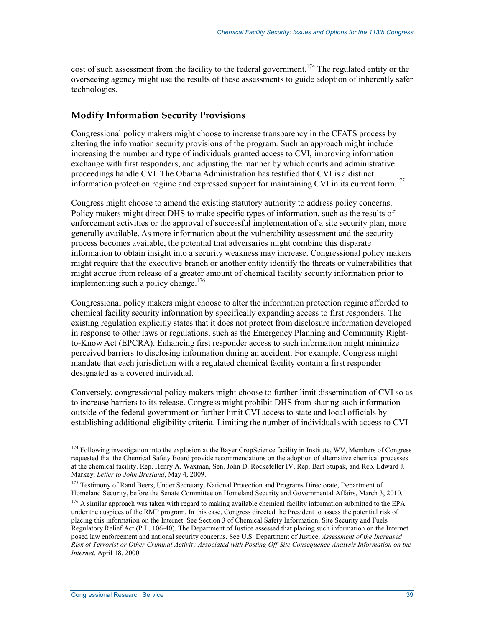cost of such assessment from the facility to the federal government.<sup>174</sup> The regulated entity or the overseeing agency might use the results of these assessments to guide adoption of inherently safer technologies.

#### **Modify Information Security Provisions**

Congressional policy makers might choose to increase transparency in the CFATS process by altering the information security provisions of the program. Such an approach might include increasing the number and type of individuals granted access to CVI, improving information exchange with first responders, and adjusting the manner by which courts and administrative proceedings handle CVI. The Obama Administration has testified that CVI is a distinct information protection regime and expressed support for maintaining CVI in its current form.<sup>175</sup>

Congress might choose to amend the existing statutory authority to address policy concerns. Policy makers might direct DHS to make specific types of information, such as the results of enforcement activities or the approval of successful implementation of a site security plan, more generally available. As more information about the vulnerability assessment and the security process becomes available, the potential that adversaries might combine this disparate information to obtain insight into a security weakness may increase. Congressional policy makers might require that the executive branch or another entity identify the threats or vulnerabilities that might accrue from release of a greater amount of chemical facility security information prior to implementing such a policy change.<sup>176</sup>

Congressional policy makers might choose to alter the information protection regime afforded to chemical facility security information by specifically expanding access to first responders. The existing regulation explicitly states that it does not protect from disclosure information developed in response to other laws or regulations, such as the Emergency Planning and Community Rightto-Know Act (EPCRA). Enhancing first responder access to such information might minimize perceived barriers to disclosing information during an accident. For example, Congress might mandate that each jurisdiction with a regulated chemical facility contain a first responder designated as a covered individual.

Conversely, congressional policy makers might choose to further limit dissemination of CVI so as to increase barriers to its release. Congress might prohibit DHS from sharing such information outside of the federal government or further limit CVI access to state and local officials by establishing additional eligibility criteria. Limiting the number of individuals with access to CVI

<u>.</u>

<sup>&</sup>lt;sup>174</sup> Following investigation into the explosion at the Bayer CropScience facility in Institute, WV, Members of Congress requested that the Chemical Safety Board provide recommendations on the adoption of alternative chemical processes at the chemical facility. Rep. Henry A. Waxman, Sen. John D. Rockefeller IV, Rep. Bart Stupak, and Rep. Edward J. Markey, *Letter to John Bresland*, May 4, 2009.

<sup>&</sup>lt;sup>175</sup> Testimony of Rand Beers, Under Secretary, National Protection and Programs Directorate, Department of Homeland Security, before the Senate Committee on Homeland Security and Governmental Affairs, March 3, 2010.

<sup>&</sup>lt;sup>176</sup> A similar approach was taken with regard to making available chemical facility information submitted to the EPA under the auspices of the RMP program. In this case, Congress directed the President to assess the potential risk of placing this information on the Internet. See Section 3 of Chemical Safety Information, Site Security and Fuels Regulatory Relief Act (P.L. 106-40). The Department of Justice assessed that placing such information on the Internet posed law enforcement and national security concerns. See U.S. Department of Justice, *Assessment of the Increased Risk of Terrorist or Other Criminal Activity Associated with Posting Off-Site Consequence Analysis Information on the Internet*, April 18, 2000.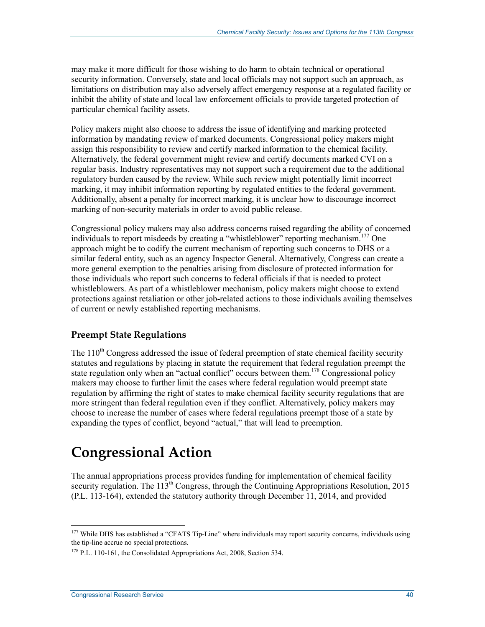may make it more difficult for those wishing to do harm to obtain technical or operational security information. Conversely, state and local officials may not support such an approach, as limitations on distribution may also adversely affect emergency response at a regulated facility or inhibit the ability of state and local law enforcement officials to provide targeted protection of particular chemical facility assets.

Policy makers might also choose to address the issue of identifying and marking protected information by mandating review of marked documents. Congressional policy makers might assign this responsibility to review and certify marked information to the chemical facility. Alternatively, the federal government might review and certify documents marked CVI on a regular basis. Industry representatives may not support such a requirement due to the additional regulatory burden caused by the review. While such review might potentially limit incorrect marking, it may inhibit information reporting by regulated entities to the federal government. Additionally, absent a penalty for incorrect marking, it is unclear how to discourage incorrect marking of non-security materials in order to avoid public release.

Congressional policy makers may also address concerns raised regarding the ability of concerned individuals to report misdeeds by creating a "whistleblower" reporting mechanism.<sup>177</sup> One approach might be to codify the current mechanism of reporting such concerns to DHS or a similar federal entity, such as an agency Inspector General. Alternatively, Congress can create a more general exemption to the penalties arising from disclosure of protected information for those individuals who report such concerns to federal officials if that is needed to protect whistleblowers. As part of a whistleblower mechanism, policy makers might choose to extend protections against retaliation or other job-related actions to those individuals availing themselves of current or newly established reporting mechanisms.

#### **Preempt State Regulations**

The 110<sup>th</sup> Congress addressed the issue of federal preemption of state chemical facility security statutes and regulations by placing in statute the requirement that federal regulation preempt the state regulation only when an "actual conflict" occurs between them.<sup>178</sup> Congressional policy makers may choose to further limit the cases where federal regulation would preempt state regulation by affirming the right of states to make chemical facility security regulations that are more stringent than federal regulation even if they conflict. Alternatively, policy makers may choose to increase the number of cases where federal regulations preempt those of a state by expanding the types of conflict, beyond "actual," that will lead to preemption.

## **Congressional Action**

The annual appropriations process provides funding for implementation of chemical facility security regulation. The  $113<sup>th</sup>$  Congress, through the Continuing Appropriations Resolution, 2015 (P.L. 113-164), extended the statutory authority through December 11, 2014, and provided

<sup>&</sup>lt;sup>177</sup> While DHS has established a "CFATS Tip-Line" where individuals may report security concerns, individuals using the tip-line accrue no special protections.

<sup>&</sup>lt;sup>178</sup> P.L. 110-161, the Consolidated Appropriations Act, 2008, Section 534.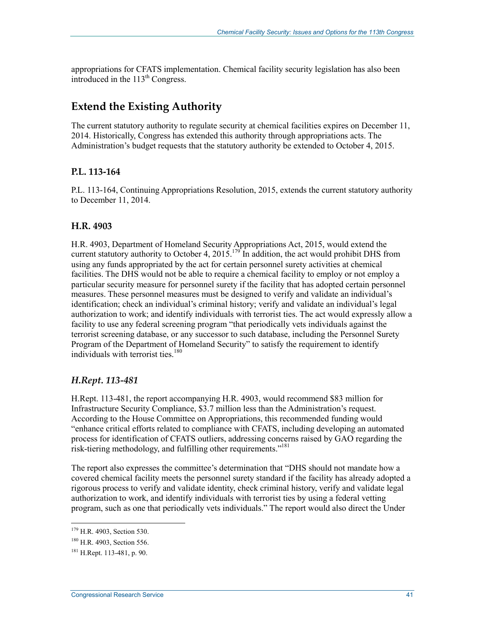appropriations for CFATS implementation. Chemical facility security legislation has also been introduced in the 113<sup>th</sup> Congress.

### **Extend the Existing Authority**

The current statutory authority to regulate security at chemical facilities expires on December 11, 2014. Historically, Congress has extended this authority through appropriations acts. The Administration's budget requests that the statutory authority be extended to October 4, 2015.

#### **P.L. 113-164**

P.L. 113-164, Continuing Appropriations Resolution, 2015, extends the current statutory authority to December 11, 2014.

#### **H.R. 4903**

H.R. 4903, Department of Homeland Security Appropriations Act, 2015, would extend the current statutory authority to October 4, 2015.<sup>179</sup> In addition, the act would prohibit DHS from using any funds appropriated by the act for certain personnel surety activities at chemical facilities. The DHS would not be able to require a chemical facility to employ or not employ a particular security measure for personnel surety if the facility that has adopted certain personnel measures. These personnel measures must be designed to verify and validate an individual's identification; check an individual's criminal history; verify and validate an individual's legal authorization to work; and identify individuals with terrorist ties. The act would expressly allow a facility to use any federal screening program "that periodically vets individuals against the terrorist screening database, or any successor to such database, including the Personnel Surety Program of the Department of Homeland Security" to satisfy the requirement to identify individuals with terrorist ties.<sup>180</sup>

#### *H.Rept. 113-481*

H.Rept. 113-481, the report accompanying H.R. 4903, would recommend \$83 million for Infrastructure Security Compliance, \$3.7 million less than the Administration's request. According to the House Committee on Appropriations, this recommended funding would "enhance critical efforts related to compliance with CFATS, including developing an automated process for identification of CFATS outliers, addressing concerns raised by GAO regarding the risk-tiering methodology, and fulfilling other requirements."<sup>181</sup>

The report also expresses the committee's determination that "DHS should not mandate how a covered chemical facility meets the personnel surety standard if the facility has already adopted a rigorous process to verify and validate identity, check criminal history, verify and validate legal authorization to work, and identify individuals with terrorist ties by using a federal vetting program, such as one that periodically vets individuals." The report would also direct the Under

<sup>179</sup> H.R. 4903, Section 530.

<sup>180</sup> H.R. 4903, Section 556.

 $181$  H.Rept. 113-481, p. 90.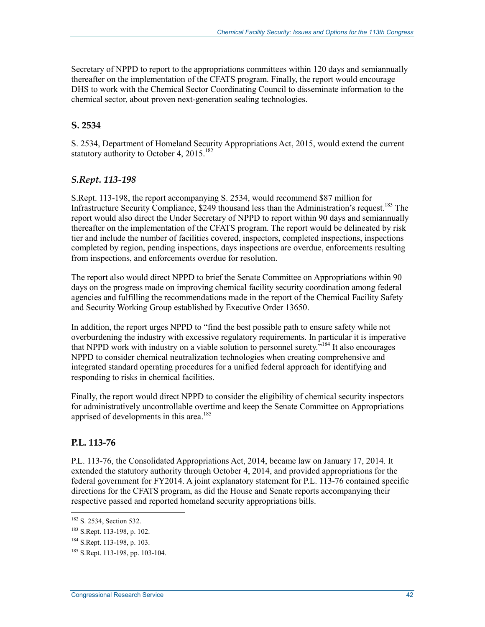Secretary of NPPD to report to the appropriations committees within 120 days and semiannually thereafter on the implementation of the CFATS program. Finally, the report would encourage DHS to work with the Chemical Sector Coordinating Council to disseminate information to the chemical sector, about proven next-generation sealing technologies.

#### **S. 2534**

S. 2534, Department of Homeland Security Appropriations Act, 2015, would extend the current statutory authority to October 4,  $2015$ <sup>182</sup>

#### *S.Rept. 113-198*

S.Rept. 113-198, the report accompanying S. 2534, would recommend \$87 million for Infrastructure Security Compliance, \$249 thousand less than the Administration's request.<sup>183</sup> The report would also direct the Under Secretary of NPPD to report within 90 days and semiannually thereafter on the implementation of the CFATS program. The report would be delineated by risk tier and include the number of facilities covered, inspectors, completed inspections, inspections completed by region, pending inspections, days inspections are overdue, enforcements resulting from inspections, and enforcements overdue for resolution.

The report also would direct NPPD to brief the Senate Committee on Appropriations within 90 days on the progress made on improving chemical facility security coordination among federal agencies and fulfilling the recommendations made in the report of the Chemical Facility Safety and Security Working Group established by Executive Order 13650.

In addition, the report urges NPPD to "find the best possible path to ensure safety while not overburdening the industry with excessive regulatory requirements. In particular it is imperative that NPPD work with industry on a viable solution to personnel surety.<sup>5184</sup> It also encourages NPPD to consider chemical neutralization technologies when creating comprehensive and integrated standard operating procedures for a unified federal approach for identifying and responding to risks in chemical facilities.

Finally, the report would direct NPPD to consider the eligibility of chemical security inspectors for administratively uncontrollable overtime and keep the Senate Committee on Appropriations apprised of developments in this area.<sup>185</sup>

#### **P.L. 113-76**

P.L. 113-76, the Consolidated Appropriations Act, 2014, became law on January 17, 2014. It extended the statutory authority through October 4, 2014, and provided appropriations for the federal government for FY2014. A joint explanatory statement for P.L. 113-76 contained specific directions for the CFATS program, as did the House and Senate reports accompanying their respective passed and reported homeland security appropriations bills.

<sup>1</sup> <sup>182</sup> S. 2534, Section 532.

<sup>183</sup> S.Rept. 113-198, p. 102.

<sup>184</sup> S.Rept. 113-198, p. 103.

<sup>185</sup> S.Rept. 113-198, pp. 103-104.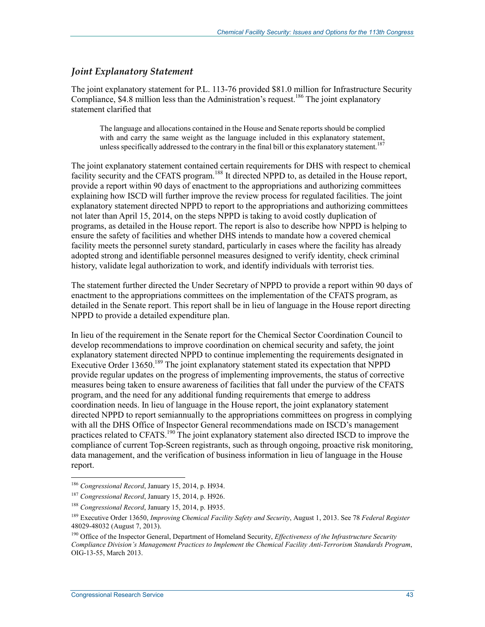#### *Joint Explanatory Statement*

The joint explanatory statement for P.L. 113-76 provided \$81.0 million for Infrastructure Security Compliance, \$4.8 million less than the Administration's request.<sup>186</sup> The joint explanatory statement clarified that

The language and allocations contained in the House and Senate reports should be complied with and carry the same weight as the language included in this explanatory statement, unless specifically addressed to the contrary in the final bill or this explanatory statement.<sup>187</sup>

The joint explanatory statement contained certain requirements for DHS with respect to chemical facility security and the CFATS program.<sup>188</sup> It directed NPPD to, as detailed in the House report, provide a report within 90 days of enactment to the appropriations and authorizing committees explaining how ISCD will further improve the review process for regulated facilities. The joint explanatory statement directed NPPD to report to the appropriations and authorizing committees not later than April 15, 2014, on the steps NPPD is taking to avoid costly duplication of programs, as detailed in the House report. The report is also to describe how NPPD is helping to ensure the safety of facilities and whether DHS intends to mandate how a covered chemical facility meets the personnel surety standard, particularly in cases where the facility has already adopted strong and identifiable personnel measures designed to verify identity, check criminal history, validate legal authorization to work, and identify individuals with terrorist ties.

The statement further directed the Under Secretary of NPPD to provide a report within 90 days of enactment to the appropriations committees on the implementation of the CFATS program, as detailed in the Senate report. This report shall be in lieu of language in the House report directing NPPD to provide a detailed expenditure plan.

In lieu of the requirement in the Senate report for the Chemical Sector Coordination Council to develop recommendations to improve coordination on chemical security and safety, the joint explanatory statement directed NPPD to continue implementing the requirements designated in Executive Order 13650.<sup>189</sup> The joint explanatory statement stated its expectation that NPPD provide regular updates on the progress of implementing improvements, the status of corrective measures being taken to ensure awareness of facilities that fall under the purview of the CFATS program, and the need for any additional funding requirements that emerge to address coordination needs. In lieu of language in the House report, the joint explanatory statement directed NPPD to report semiannually to the appropriations committees on progress in complying with all the DHS Office of Inspector General recommendations made on ISCD's management practices related to CFATS.<sup>190</sup> The joint explanatory statement also directed ISCD to improve the compliance of current Top-Screen registrants, such as through ongoing, proactive risk monitoring, data management, and the verification of business information in lieu of language in the House report.

<sup>186</sup> *Congressional Record*, January 15, 2014, p. H934.

<sup>187</sup> *Congressional Record*, January 15, 2014, p. H926.

<sup>188</sup> *Congressional Record*, January 15, 2014, p. H935.

<sup>189</sup> Executive Order 13650, *Improving Chemical Facility Safety and Security*, August 1, 2013. See 78 *Federal Register* 48029-48032 (August 7, 2013).

<sup>&</sup>lt;sup>190</sup> Office of the Inspector General, Department of Homeland Security, *Effectiveness of the Infrastructure Security Compliance Division's Management Practices to Implement the Chemical Facility Anti-Terrorism Standards Program*, OIG-13-55, March 2013.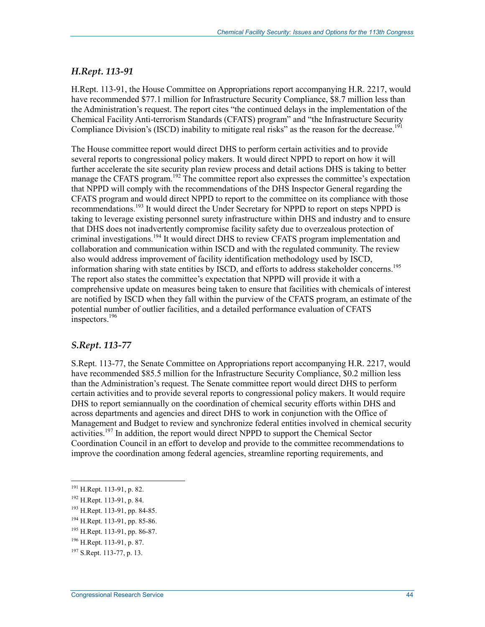#### *H.Rept. 113-91*

H.Rept. 113-91, the House Committee on Appropriations report accompanying H.R. 2217, would have recommended \$77.1 million for Infrastructure Security Compliance, \$8.7 million less than the Administration's request. The report cites "the continued delays in the implementation of the Chemical Facility Anti-terrorism Standards (CFATS) program" and "the Infrastructure Security Compliance Division's (ISCD) inability to mitigate real risks" as the reason for the decrease.<sup>191</sup>

The House committee report would direct DHS to perform certain activities and to provide several reports to congressional policy makers. It would direct NPPD to report on how it will further accelerate the site security plan review process and detail actions DHS is taking to better manage the CFATS program.<sup>192</sup> The committee report also expresses the committee's expectation that NPPD will comply with the recommendations of the DHS Inspector General regarding the CFATS program and would direct NPPD to report to the committee on its compliance with those recommendations.193 It would direct the Under Secretary for NPPD to report on steps NPPD is taking to leverage existing personnel surety infrastructure within DHS and industry and to ensure that DHS does not inadvertently compromise facility safety due to overzealous protection of criminal investigations.194 It would direct DHS to review CFATS program implementation and collaboration and communication within ISCD and with the regulated community. The review also would address improvement of facility identification methodology used by ISCD, information sharing with state entities by ISCD, and efforts to address stakeholder concerns.<sup>195</sup> The report also states the committee's expectation that NPPD will provide it with a comprehensive update on measures being taken to ensure that facilities with chemicals of interest are notified by ISCD when they fall within the purview of the CFATS program, an estimate of the potential number of outlier facilities, and a detailed performance evaluation of CFATS  $inspects.<sup>196</sup>$ 

#### *S.Rept. 113-77*

S.Rept. 113-77, the Senate Committee on Appropriations report accompanying H.R. 2217, would have recommended \$85.5 million for the Infrastructure Security Compliance, \$0.2 million less than the Administration's request. The Senate committee report would direct DHS to perform certain activities and to provide several reports to congressional policy makers. It would require DHS to report semiannually on the coordination of chemical security efforts within DHS and across departments and agencies and direct DHS to work in conjunction with the Office of Management and Budget to review and synchronize federal entities involved in chemical security activities.<sup>197</sup> In addition, the report would direct NPPD to support the Chemical Sector Coordination Council in an effort to develop and provide to the committee recommendations to improve the coordination among federal agencies, streamline reporting requirements, and

<sup>&</sup>lt;sup>191</sup> H.Rept. 113-91, p. 82.

<sup>192</sup> H.Rept. 113-91, p. 84.

<sup>193</sup> H.Rept. 113-91, pp. 84-85.

<sup>194</sup> H.Rept. 113-91, pp. 85-86.

<sup>195</sup> H.Rept. 113-91, pp. 86-87.

<sup>196</sup> H.Rept. 113-91, p. 87.

<sup>&</sup>lt;sup>197</sup> S.Rept. 113-77, p. 13.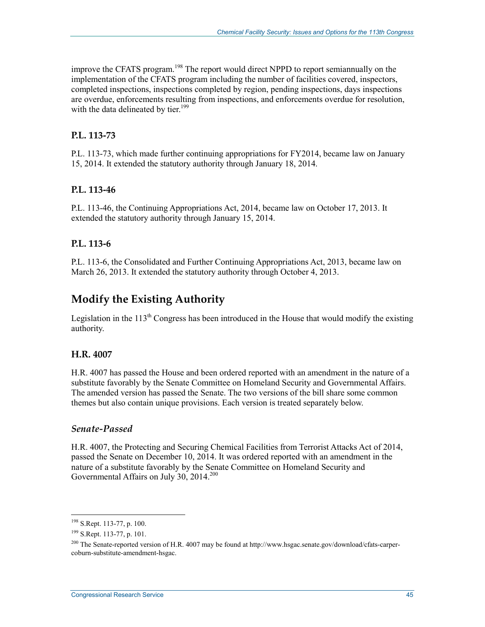improve the CFATS program.<sup>198</sup> The report would direct NPPD to report semiannually on the implementation of the CFATS program including the number of facilities covered, inspectors, completed inspections, inspections completed by region, pending inspections, days inspections are overdue, enforcements resulting from inspections, and enforcements overdue for resolution, with the data delineated by tier.<sup>199</sup>

#### **P.L. 113-73**

P.L. 113-73, which made further continuing appropriations for FY2014, became law on January 15, 2014. It extended the statutory authority through January 18, 2014.

#### **P.L. 113-46**

P.L. 113-46, the Continuing Appropriations Act, 2014, became law on October 17, 2013. It extended the statutory authority through January 15, 2014.

#### **P.L. 113-6**

P.L. 113-6, the Consolidated and Further Continuing Appropriations Act, 2013, became law on March 26, 2013. It extended the statutory authority through October 4, 2013.

## **Modify the Existing Authority**

Legislation in the  $113<sup>th</sup>$  Congress has been introduced in the House that would modify the existing authority.

#### **H.R. 4007**

H.R. 4007 has passed the House and been ordered reported with an amendment in the nature of a substitute favorably by the Senate Committee on Homeland Security and Governmental Affairs. The amended version has passed the Senate. The two versions of the bill share some common themes but also contain unique provisions. Each version is treated separately below.

#### *Senate-Passed*

H.R. 4007, the Protecting and Securing Chemical Facilities from Terrorist Attacks Act of 2014, passed the Senate on December 10, 2014. It was ordered reported with an amendment in the nature of a substitute favorably by the Senate Committee on Homeland Security and Governmental Affairs on July 30, 2014.<sup>200</sup>

<sup>&</sup>lt;sup>198</sup> S.Rept. 113-77, p. 100.

<sup>199</sup> S.Rept. 113-77, p. 101.

<sup>&</sup>lt;sup>200</sup> The Senate-reported version of H.R. 4007 may be found at http://www.hsgac.senate.gov/download/cfats-carpercoburn-substitute-amendment-hsgac.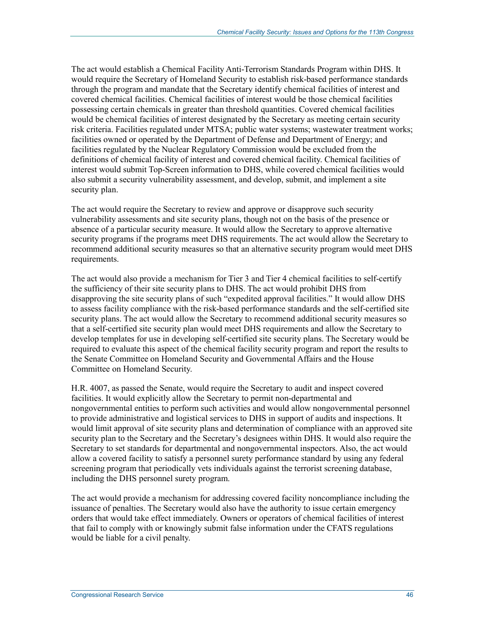The act would establish a Chemical Facility Anti-Terrorism Standards Program within DHS. It would require the Secretary of Homeland Security to establish risk-based performance standards through the program and mandate that the Secretary identify chemical facilities of interest and covered chemical facilities. Chemical facilities of interest would be those chemical facilities possessing certain chemicals in greater than threshold quantities. Covered chemical facilities would be chemical facilities of interest designated by the Secretary as meeting certain security risk criteria. Facilities regulated under MTSA; public water systems; wastewater treatment works; facilities owned or operated by the Department of Defense and Department of Energy; and facilities regulated by the Nuclear Regulatory Commission would be excluded from the definitions of chemical facility of interest and covered chemical facility. Chemical facilities of interest would submit Top-Screen information to DHS, while covered chemical facilities would also submit a security vulnerability assessment, and develop, submit, and implement a site security plan.

The act would require the Secretary to review and approve or disapprove such security vulnerability assessments and site security plans, though not on the basis of the presence or absence of a particular security measure. It would allow the Secretary to approve alternative security programs if the programs meet DHS requirements. The act would allow the Secretary to recommend additional security measures so that an alternative security program would meet DHS requirements.

The act would also provide a mechanism for Tier 3 and Tier 4 chemical facilities to self-certify the sufficiency of their site security plans to DHS. The act would prohibit DHS from disapproving the site security plans of such "expedited approval facilities." It would allow DHS to assess facility compliance with the risk-based performance standards and the self-certified site security plans. The act would allow the Secretary to recommend additional security measures so that a self-certified site security plan would meet DHS requirements and allow the Secretary to develop templates for use in developing self-certified site security plans. The Secretary would be required to evaluate this aspect of the chemical facility security program and report the results to the Senate Committee on Homeland Security and Governmental Affairs and the House Committee on Homeland Security.

H.R. 4007, as passed the Senate, would require the Secretary to audit and inspect covered facilities. It would explicitly allow the Secretary to permit non-departmental and nongovernmental entities to perform such activities and would allow nongovernmental personnel to provide administrative and logistical services to DHS in support of audits and inspections. It would limit approval of site security plans and determination of compliance with an approved site security plan to the Secretary and the Secretary's designees within DHS. It would also require the Secretary to set standards for departmental and nongovernmental inspectors. Also, the act would allow a covered facility to satisfy a personnel surety performance standard by using any federal screening program that periodically vets individuals against the terrorist screening database, including the DHS personnel surety program.

The act would provide a mechanism for addressing covered facility noncompliance including the issuance of penalties. The Secretary would also have the authority to issue certain emergency orders that would take effect immediately. Owners or operators of chemical facilities of interest that fail to comply with or knowingly submit false information under the CFATS regulations would be liable for a civil penalty.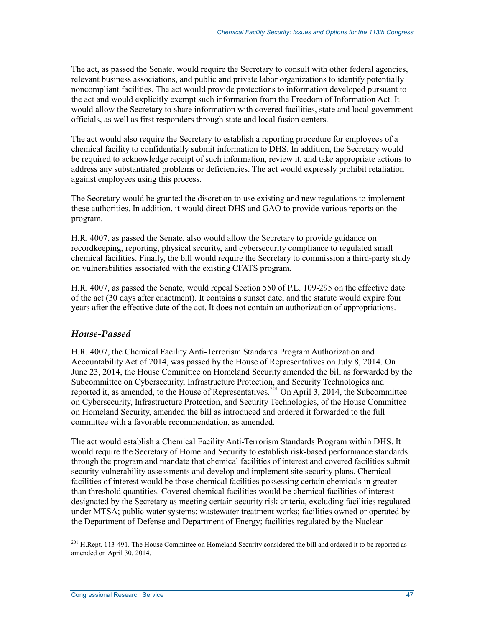The act, as passed the Senate, would require the Secretary to consult with other federal agencies, relevant business associations, and public and private labor organizations to identify potentially noncompliant facilities. The act would provide protections to information developed pursuant to the act and would explicitly exempt such information from the Freedom of Information Act. It would allow the Secretary to share information with covered facilities, state and local government officials, as well as first responders through state and local fusion centers.

The act would also require the Secretary to establish a reporting procedure for employees of a chemical facility to confidentially submit information to DHS. In addition, the Secretary would be required to acknowledge receipt of such information, review it, and take appropriate actions to address any substantiated problems or deficiencies. The act would expressly prohibit retaliation against employees using this process.

The Secretary would be granted the discretion to use existing and new regulations to implement these authorities. In addition, it would direct DHS and GAO to provide various reports on the program.

H.R. 4007, as passed the Senate, also would allow the Secretary to provide guidance on recordkeeping, reporting, physical security, and cybersecurity compliance to regulated small chemical facilities. Finally, the bill would require the Secretary to commission a third-party study on vulnerabilities associated with the existing CFATS program.

H.R. 4007, as passed the Senate, would repeal Section 550 of P.L. 109-295 on the effective date of the act (30 days after enactment). It contains a sunset date, and the statute would expire four years after the effective date of the act. It does not contain an authorization of appropriations.

#### *House-Passed*

H.R. 4007, the Chemical Facility Anti-Terrorism Standards Program Authorization and Accountability Act of 2014, was passed by the House of Representatives on July 8, 2014. On June 23, 2014, the House Committee on Homeland Security amended the bill as forwarded by the Subcommittee on Cybersecurity, Infrastructure Protection, and Security Technologies and reported it, as amended, to the House of Representatives.<sup>201</sup> On April 3, 2014, the Subcommittee on Cybersecurity, Infrastructure Protection, and Security Technologies, of the House Committee on Homeland Security, amended the bill as introduced and ordered it forwarded to the full committee with a favorable recommendation, as amended.

The act would establish a Chemical Facility Anti-Terrorism Standards Program within DHS. It would require the Secretary of Homeland Security to establish risk-based performance standards through the program and mandate that chemical facilities of interest and covered facilities submit security vulnerability assessments and develop and implement site security plans. Chemical facilities of interest would be those chemical facilities possessing certain chemicals in greater than threshold quantities. Covered chemical facilities would be chemical facilities of interest designated by the Secretary as meeting certain security risk criteria, excluding facilities regulated under MTSA; public water systems; wastewater treatment works; facilities owned or operated by the Department of Defense and Department of Energy; facilities regulated by the Nuclear

<sup>&</sup>lt;sup>201</sup> H.Rept. 113-491. The House Committee on Homeland Security considered the bill and ordered it to be reported as amended on April 30, 2014.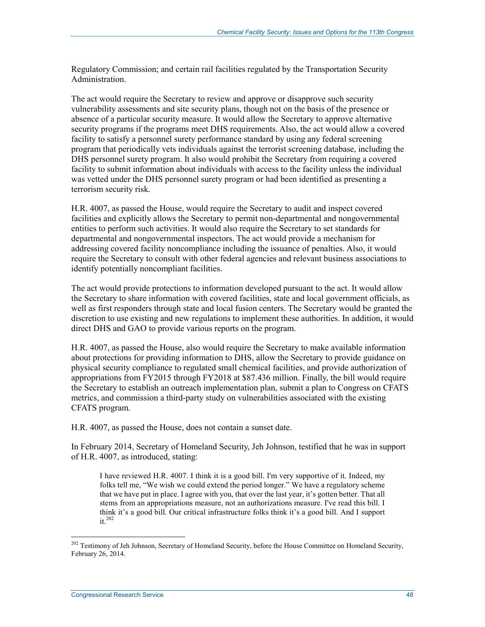Regulatory Commission; and certain rail facilities regulated by the Transportation Security Administration.

The act would require the Secretary to review and approve or disapprove such security vulnerability assessments and site security plans, though not on the basis of the presence or absence of a particular security measure. It would allow the Secretary to approve alternative security programs if the programs meet DHS requirements. Also, the act would allow a covered facility to satisfy a personnel surety performance standard by using any federal screening program that periodically vets individuals against the terrorist screening database, including the DHS personnel surety program. It also would prohibit the Secretary from requiring a covered facility to submit information about individuals with access to the facility unless the individual was vetted under the DHS personnel surety program or had been identified as presenting a terrorism security risk.

H.R. 4007, as passed the House, would require the Secretary to audit and inspect covered facilities and explicitly allows the Secretary to permit non-departmental and nongovernmental entities to perform such activities. It would also require the Secretary to set standards for departmental and nongovernmental inspectors. The act would provide a mechanism for addressing covered facility noncompliance including the issuance of penalties. Also, it would require the Secretary to consult with other federal agencies and relevant business associations to identify potentially noncompliant facilities.

The act would provide protections to information developed pursuant to the act. It would allow the Secretary to share information with covered facilities, state and local government officials, as well as first responders through state and local fusion centers. The Secretary would be granted the discretion to use existing and new regulations to implement these authorities. In addition, it would direct DHS and GAO to provide various reports on the program.

H.R. 4007, as passed the House, also would require the Secretary to make available information about protections for providing information to DHS, allow the Secretary to provide guidance on physical security compliance to regulated small chemical facilities, and provide authorization of appropriations from FY2015 through FY2018 at \$87.436 million. Finally, the bill would require the Secretary to establish an outreach implementation plan, submit a plan to Congress on CFATS metrics, and commission a third-party study on vulnerabilities associated with the existing CFATS program.

H.R. 4007, as passed the House, does not contain a sunset date.

In February 2014, Secretary of Homeland Security, Jeh Johnson, testified that he was in support of H.R. 4007, as introduced, stating:

I have reviewed H.R. 4007. I think it is a good bill. I'm very supportive of it. Indeed, my folks tell me, "We wish we could extend the period longer." We have a regulatory scheme that we have put in place. I agree with you, that over the last year, it's gotten better. That all stems from an appropriations measure, not an authorizations measure. I've read this bill. I think it's a good bill. Our critical infrastructure folks think it's a good bill. And I support it.<sup>202</sup>

<sup>&</sup>lt;sup>202</sup> Testimony of Jeh Johnson, Secretary of Homeland Security, before the House Committee on Homeland Security, February 26, 2014.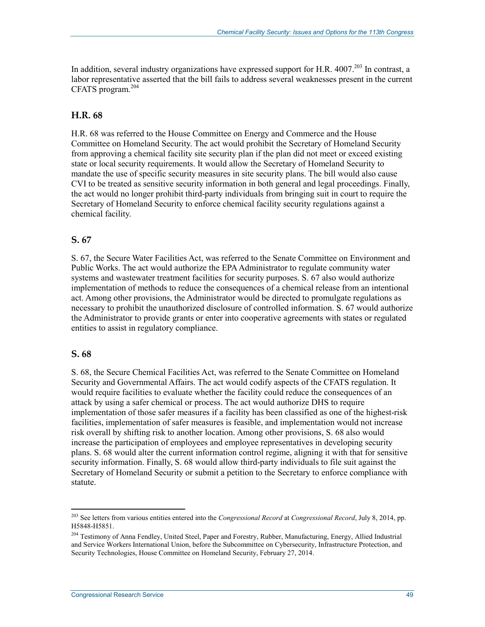In addition, several industry organizations have expressed support for H.R.  $4007<sup>203</sup>$  In contrast, a labor representative asserted that the bill fails to address several weaknesses present in the current CFATS program.<sup>204</sup>

#### **H.R. 68**

H.R. 68 was referred to the House Committee on Energy and Commerce and the House Committee on Homeland Security. The act would prohibit the Secretary of Homeland Security from approving a chemical facility site security plan if the plan did not meet or exceed existing state or local security requirements. It would allow the Secretary of Homeland Security to mandate the use of specific security measures in site security plans. The bill would also cause CVI to be treated as sensitive security information in both general and legal proceedings. Finally, the act would no longer prohibit third-party individuals from bringing suit in court to require the Secretary of Homeland Security to enforce chemical facility security regulations against a chemical facility.

#### **S. 67**

S. 67, the Secure Water Facilities Act, was referred to the Senate Committee on Environment and Public Works. The act would authorize the EPA Administrator to regulate community water systems and wastewater treatment facilities for security purposes. S. 67 also would authorize implementation of methods to reduce the consequences of a chemical release from an intentional act. Among other provisions, the Administrator would be directed to promulgate regulations as necessary to prohibit the unauthorized disclosure of controlled information. S. 67 would authorize the Administrator to provide grants or enter into cooperative agreements with states or regulated entities to assist in regulatory compliance.

#### **S. 68**

1

S. 68, the Secure Chemical Facilities Act, was referred to the Senate Committee on Homeland Security and Governmental Affairs. The act would codify aspects of the CFATS regulation. It would require facilities to evaluate whether the facility could reduce the consequences of an attack by using a safer chemical or process. The act would authorize DHS to require implementation of those safer measures if a facility has been classified as one of the highest-risk facilities, implementation of safer measures is feasible, and implementation would not increase risk overall by shifting risk to another location. Among other provisions, S. 68 also would increase the participation of employees and employee representatives in developing security plans. S. 68 would alter the current information control regime, aligning it with that for sensitive security information. Finally, S. 68 would allow third-party individuals to file suit against the Secretary of Homeland Security or submit a petition to the Secretary to enforce compliance with statute.

<sup>203</sup> See letters from various entities entered into the *Congressional Record* at *Congressional Record*, July 8, 2014, pp. H5848-H5851.

<sup>&</sup>lt;sup>204</sup> Testimony of Anna Fendley, United Steel, Paper and Forestry, Rubber, Manufacturing, Energy, Allied Industrial and Service Workers International Union, before the Subcommittee on Cybersecurity, Infrastructure Protection, and Security Technologies, House Committee on Homeland Security, February 27, 2014.